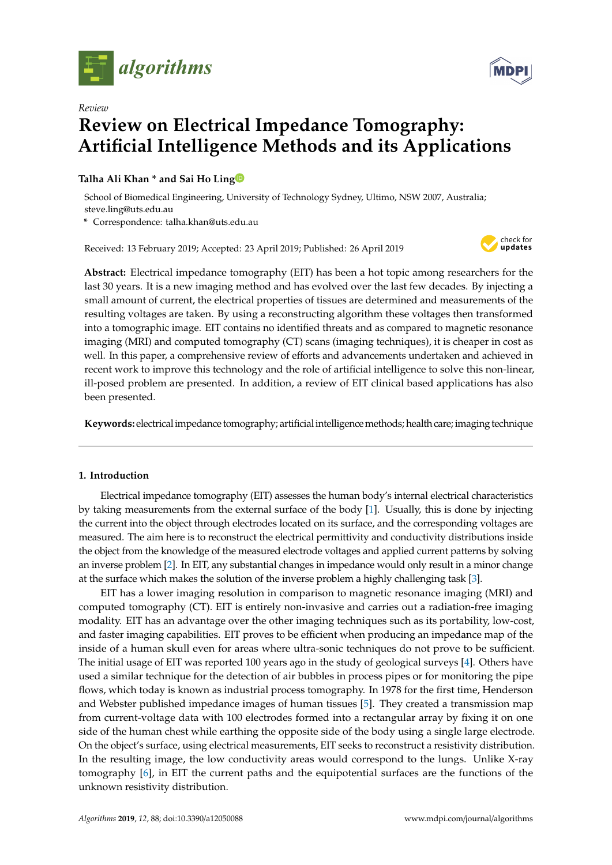



# *Review* **Review on Electrical Impedance Tomography: Artificial Intelligence Methods and its Applications**

# **Talha Ali Khan \* and Sai Ho Lin[g](https://orcid.org/0000-0003-0849-5098)**

School of Biomedical Engineering, University of Technology Sydney, Ultimo, NSW 2007, Australia; steve.ling@uts.edu.au

**\*** Correspondence: talha.khan@uts.edu.au

Received: 13 February 2019; Accepted: 23 April 2019; Published: 26 April 2019



**Abstract:** Electrical impedance tomography (EIT) has been a hot topic among researchers for the last 30 years. It is a new imaging method and has evolved over the last few decades. By injecting a small amount of current, the electrical properties of tissues are determined and measurements of the resulting voltages are taken. By using a reconstructing algorithm these voltages then transformed into a tomographic image. EIT contains no identified threats and as compared to magnetic resonance imaging (MRI) and computed tomography (CT) scans (imaging techniques), it is cheaper in cost as well. In this paper, a comprehensive review of efforts and advancements undertaken and achieved in recent work to improve this technology and the role of artificial intelligence to solve this non-linear, ill-posed problem are presented. In addition, a review of EIT clinical based applications has also been presented.

**Keywords:** electricalimpedance tomography; artificialintelligencemethods; health care; imaging technique

# **1. Introduction**

Electrical impedance tomography (EIT) assesses the human body's internal electrical characteristics by taking measurements from the external surface of the body [\[1\]](#page-12-0). Usually, this is done by injecting the current into the object through electrodes located on its surface, and the corresponding voltages are measured. The aim here is to reconstruct the electrical permittivity and conductivity distributions inside the object from the knowledge of the measured electrode voltages and applied current patterns by solving an inverse problem [\[2\]](#page-13-0). In EIT, any substantial changes in impedance would only result in a minor change at the surface which makes the solution of the inverse problem a highly challenging task [\[3\]](#page-13-1).

EIT has a lower imaging resolution in comparison to magnetic resonance imaging (MRI) and computed tomography (CT). EIT is entirely non-invasive and carries out a radiation-free imaging modality. EIT has an advantage over the other imaging techniques such as its portability, low-cost, and faster imaging capabilities. EIT proves to be efficient when producing an impedance map of the inside of a human skull even for areas where ultra-sonic techniques do not prove to be sufficient. The initial usage of EIT was reported 100 years ago in the study of geological surveys [\[4\]](#page-13-2). Others have used a similar technique for the detection of air bubbles in process pipes or for monitoring the pipe flows, which today is known as industrial process tomography. In 1978 for the first time, Henderson and Webster published impedance images of human tissues [\[5\]](#page-13-3). They created a transmission map from current-voltage data with 100 electrodes formed into a rectangular array by fixing it on one side of the human chest while earthing the opposite side of the body using a single large electrode. On the object's surface, using electrical measurements, EIT seeks to reconstruct a resistivity distribution. In the resulting image, the low conductivity areas would correspond to the lungs. Unlike X-ray tomography [\[6\]](#page-13-4), in EIT the current paths and the equipotential surfaces are the functions of the unknown resistivity distribution.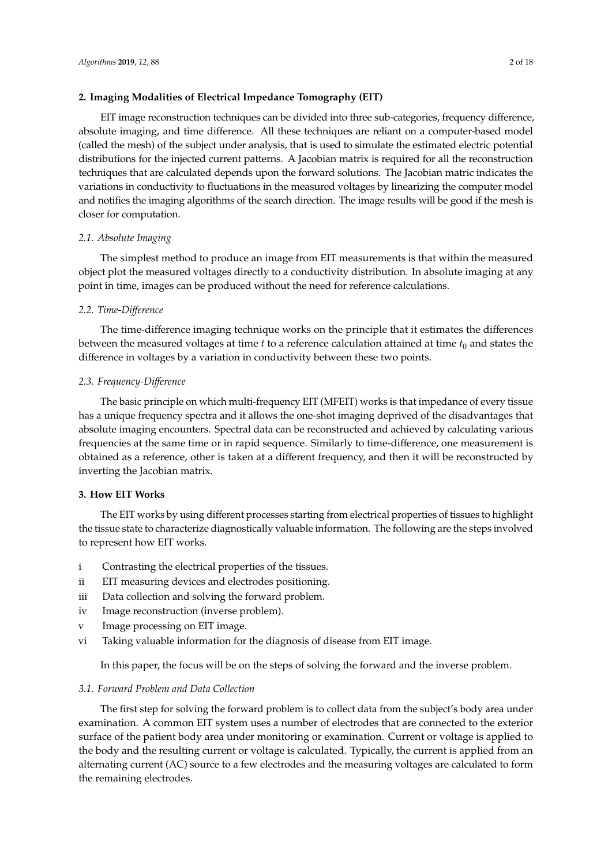## **2. Imaging Modalities of Electrical Impedance Tomography (EIT)**

EIT image reconstruction techniques can be divided into three sub-categories, frequency difference, absolute imaging, and time difference. All these techniques are reliant on a computer-based model (called the mesh) of the subject under analysis, that is used to simulate the estimated electric potential distributions for the injected current patterns. A Jacobian matrix is required for all the reconstruction techniques that are calculated depends upon the forward solutions. The Jacobian matric indicates the variations in conductivity to fluctuations in the measured voltages by linearizing the computer model and notifies the imaging algorithms of the search direction. The image results will be good if the mesh is closer for computation.

## *2.1. Absolute Imaging*

The simplest method to produce an image from EIT measurements is that within the measured object plot the measured voltages directly to a conductivity distribution. In absolute imaging at any point in time, images can be produced without the need for reference calculations.

## *2.2. Time-Di*ff*erence*

The time-difference imaging technique works on the principle that it estimates the differences between the measured voltages at time  $t$  to a reference calculation attained at time  $t_0$  and states the difference in voltages by a variation in conductivity between these two points.

## *2.3. Frequency-Di*ff*erence*

The basic principle on which multi-frequency EIT (MFEIT) works is that impedance of every tissue has a unique frequency spectra and it allows the one-shot imaging deprived of the disadvantages that absolute imaging encounters. Spectral data can be reconstructed and achieved by calculating various frequencies at the same time or in rapid sequence. Similarly to time-difference, one measurement is obtained as a reference, other is taken at a different frequency, and then it will be reconstructed by inverting the Jacobian matrix.

## **3. How EIT Works**

The EIT works by using different processes starting from electrical properties of tissues to highlight the tissue state to characterize diagnostically valuable information. The following are the steps involved to represent how EIT works.

- i Contrasting the electrical properties of the tissues.
- ii EIT measuring devices and electrodes positioning.
- iii Data collection and solving the forward problem.
- iv Image reconstruction (inverse problem).
- v Image processing on EIT image.
- vi Taking valuable information for the diagnosis of disease from EIT image.

In this paper, the focus will be on the steps of solving the forward and the inverse problem.

## *3.1. Forward Problem and Data Collection*

The first step for solving the forward problem is to collect data from the subject's body area under examination. A common EIT system uses a number of electrodes that are connected to the exterior surface of the patient body area under monitoring or examination. Current or voltage is applied to the body and the resulting current or voltage is calculated. Typically, the current is applied from an alternating current (AC) source to a few electrodes and the measuring voltages are calculated to form the remaining electrodes.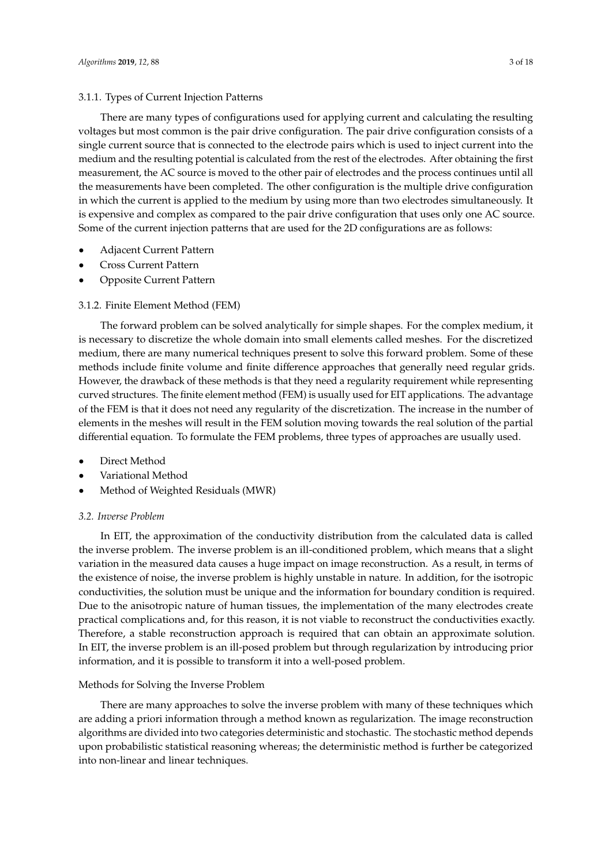#### 3.1.1. Types of Current Injection Patterns

There are many types of configurations used for applying current and calculating the resulting voltages but most common is the pair drive configuration. The pair drive configuration consists of a single current source that is connected to the electrode pairs which is used to inject current into the medium and the resulting potential is calculated from the rest of the electrodes. After obtaining the first measurement, the AC source is moved to the other pair of electrodes and the process continues until all the measurements have been completed. The other configuration is the multiple drive configuration in which the current is applied to the medium by using more than two electrodes simultaneously. It is expensive and complex as compared to the pair drive configuration that uses only one AC source. Some of the current injection patterns that are used for the 2D configurations are as follows:

- Adjacent Current Pattern
- Cross Current Pattern
- Opposite Current Pattern

## 3.1.2. Finite Element Method (FEM)

The forward problem can be solved analytically for simple shapes. For the complex medium, it is necessary to discretize the whole domain into small elements called meshes. For the discretized medium, there are many numerical techniques present to solve this forward problem. Some of these methods include finite volume and finite difference approaches that generally need regular grids. However, the drawback of these methods is that they need a regularity requirement while representing curved structures. The finite element method (FEM) is usually used for EIT applications. The advantage of the FEM is that it does not need any regularity of the discretization. The increase in the number of elements in the meshes will result in the FEM solution moving towards the real solution of the partial differential equation. To formulate the FEM problems, three types of approaches are usually used.

- Direct Method
- Variational Method
- Method of Weighted Residuals (MWR)

## *3.2. Inverse Problem*

In EIT, the approximation of the conductivity distribution from the calculated data is called the inverse problem. The inverse problem is an ill-conditioned problem, which means that a slight variation in the measured data causes a huge impact on image reconstruction. As a result, in terms of the existence of noise, the inverse problem is highly unstable in nature. In addition, for the isotropic conductivities, the solution must be unique and the information for boundary condition is required. Due to the anisotropic nature of human tissues, the implementation of the many electrodes create practical complications and, for this reason, it is not viable to reconstruct the conductivities exactly. Therefore, a stable reconstruction approach is required that can obtain an approximate solution. In EIT, the inverse problem is an ill-posed problem but through regularization by introducing prior information, and it is possible to transform it into a well-posed problem.

## Methods for Solving the Inverse Problem

There are many approaches to solve the inverse problem with many of these techniques which are adding a priori information through a method known as regularization. The image reconstruction algorithms are divided into two categories deterministic and stochastic. The stochastic method depends upon probabilistic statistical reasoning whereas; the deterministic method is further be categorized into non-linear and linear techniques.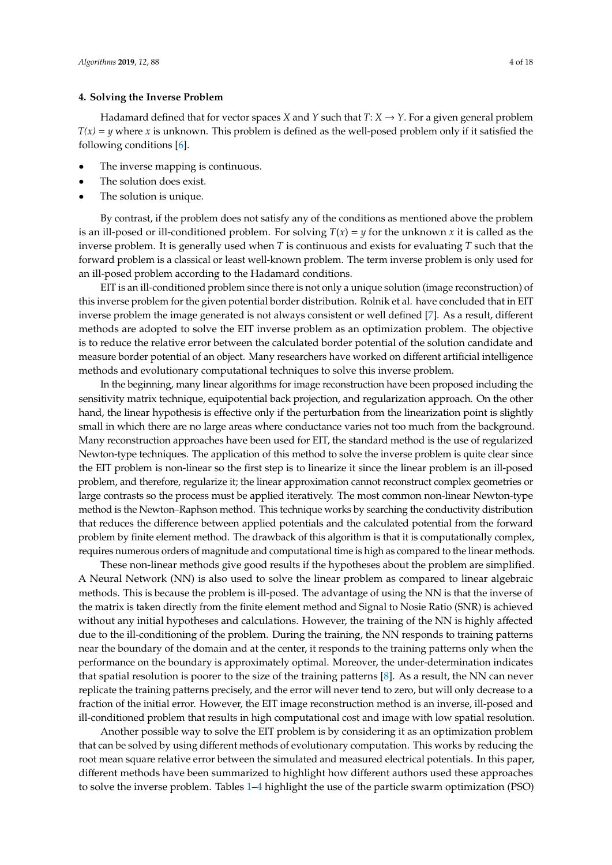#### **4. Solving the Inverse Problem**

Hadamard defined that for vector spaces *X* and *Y* such that  $T: X \rightarrow Y$ . For a given general problem  $T(x) = y$  where *x* is unknown. This problem is defined as the well-posed problem only if it satisfied the following conditions [\[6\]](#page-13-4).

- The inverse mapping is continuous.
- The solution does exist.
- The solution is unique.

By contrast, if the problem does not satisfy any of the conditions as mentioned above the problem is an ill-posed or ill-conditioned problem. For solving  $T(x) = y$  for the unknown *x* it is called as the inverse problem. It is generally used when *T* is continuous and exists for evaluating *T* such that the forward problem is a classical or least well-known problem. The term inverse problem is only used for an ill-posed problem according to the Hadamard conditions.

EIT is an ill-conditioned problem since there is not only a unique solution (image reconstruction) of this inverse problem for the given potential border distribution. Rolnik et al. have concluded that in EIT inverse problem the image generated is not always consistent or well defined [\[7\]](#page-13-5). As a result, different methods are adopted to solve the EIT inverse problem as an optimization problem. The objective is to reduce the relative error between the calculated border potential of the solution candidate and measure border potential of an object. Many researchers have worked on different artificial intelligence methods and evolutionary computational techniques to solve this inverse problem.

In the beginning, many linear algorithms for image reconstruction have been proposed including the sensitivity matrix technique, equipotential back projection, and regularization approach. On the other hand, the linear hypothesis is effective only if the perturbation from the linearization point is slightly small in which there are no large areas where conductance varies not too much from the background. Many reconstruction approaches have been used for EIT, the standard method is the use of regularized Newton-type techniques. The application of this method to solve the inverse problem is quite clear since the EIT problem is non-linear so the first step is to linearize it since the linear problem is an ill-posed problem, and therefore, regularize it; the linear approximation cannot reconstruct complex geometries or large contrasts so the process must be applied iteratively. The most common non-linear Newton-type method is the Newton–Raphson method. This technique works by searching the conductivity distribution that reduces the difference between applied potentials and the calculated potential from the forward problem by finite element method. The drawback of this algorithm is that it is computationally complex, requires numerous orders of magnitude and computational time is high as compared to the linear methods.

These non-linear methods give good results if the hypotheses about the problem are simplified. A Neural Network (NN) is also used to solve the linear problem as compared to linear algebraic methods. This is because the problem is ill-posed. The advantage of using the NN is that the inverse of the matrix is taken directly from the finite element method and Signal to Nosie Ratio (SNR) is achieved without any initial hypotheses and calculations. However, the training of the NN is highly affected due to the ill-conditioning of the problem. During the training, the NN responds to training patterns near the boundary of the domain and at the center, it responds to the training patterns only when the performance on the boundary is approximately optimal. Moreover, the under-determination indicates that spatial resolution is poorer to the size of the training patterns [\[8\]](#page-13-6). As a result, the NN can never replicate the training patterns precisely, and the error will never tend to zero, but will only decrease to a fraction of the initial error. However, the EIT image reconstruction method is an inverse, ill-posed and ill-conditioned problem that results in high computational cost and image with low spatial resolution.

Another possible way to solve the EIT problem is by considering it as an optimization problem that can be solved by using different methods of evolutionary computation. This works by reducing the root mean square relative error between the simulated and measured electrical potentials. In this paper, different methods have been summarized to highlight how different authors used these approaches to solve the inverse problem. Tables [1](#page-4-0)[–4](#page-7-0) highlight the use of the particle swarm optimization (PSO)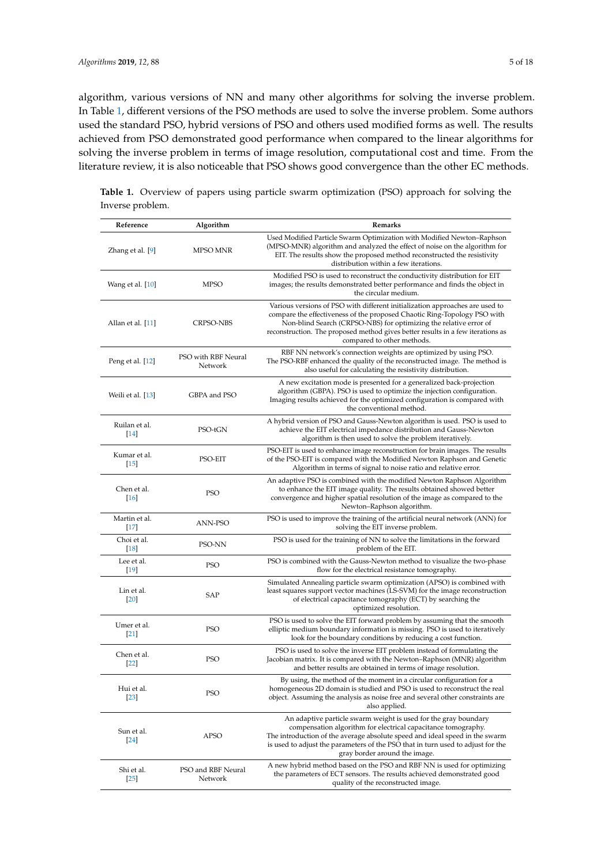algorithm, various versions of NN and many other algorithms for solving the inverse problem. In Table [1,](#page-4-0) different versions of the PSO methods are used to solve the inverse problem. Some authors used the standard PSO, hybrid versions of PSO and others used modified forms as well. The results achieved from PSO demonstrated good performance when compared to the linear algorithms for solving the inverse problem in terms of image resolution, computational cost and time. From the literature review, it is also noticeable that PSO shows good convergence than the other EC methods.

| Reference               | Algorithm                      | Remarks                                                                                                                                                                                                                                                                                                                                        |  |  |
|-------------------------|--------------------------------|------------------------------------------------------------------------------------------------------------------------------------------------------------------------------------------------------------------------------------------------------------------------------------------------------------------------------------------------|--|--|
| Zhang et al. [9]        | MPSO MNR                       | Used Modified Particle Swarm Optimization with Modified Newton–Raphson<br>(MPSO-MNR) algorithm and analyzed the effect of noise on the algorithm for<br>EIT. The results show the proposed method reconstructed the resistivity<br>distribution within a few iterations.                                                                       |  |  |
| Wang et al. [10]        | MPSO                           | Modified PSO is used to reconstruct the conductivity distribution for EIT<br>images; the results demonstrated better performance and finds the object in<br>the circular medium.                                                                                                                                                               |  |  |
| Allan et al. [11]       | <b>CRPSO-NBS</b>               | Various versions of PSO with different initialization approaches are used to<br>compare the effectiveness of the proposed Chaotic Ring-Topology PSO with<br>Non-blind Search (CRPSO-NBS) for optimizing the relative error of<br>reconstruction. The proposed method gives better results in a few iterations as<br>compared to other methods. |  |  |
| Peng et al. [12]        | PSO with RBF Neural<br>Network | RBF NN network's connection weights are optimized by using PSO.<br>The PSO-RBF enhanced the quality of the reconstructed image. The method is<br>also useful for calculating the resistivity distribution.                                                                                                                                     |  |  |
| Weili et al. [13]       | GBPA and PSO                   | A new excitation mode is presented for a generalized back-projection<br>algorithm (GBPA). PSO is used to optimize the injection configuration.<br>Imaging results achieved for the optimized configuration is compared with<br>the conventional method.                                                                                        |  |  |
| Ruilan et al.<br>$[14]$ | PSO-tGN                        | A hybrid version of PSO and Gauss-Newton algorithm is used. PSO is used to<br>achieve the EIT electrical impedance distribution and Gauss-Newton<br>algorithm is then used to solve the problem iteratively.                                                                                                                                   |  |  |
| Kumar et al.<br>$[15]$  | PSO-EIT                        | PSO-EIT is used to enhance image reconstruction for brain images. The results<br>of the PSO-EIT is compared with the Modified Newton Raphson and Genetic<br>Algorithm in terms of signal to noise ratio and relative error.                                                                                                                    |  |  |
| Chen et al.<br>$[16]$   | <b>PSO</b>                     | An adaptive PSO is combined with the modified Newton Raphson Algorithm<br>to enhance the EIT image quality. The results obtained showed better<br>convergence and higher spatial resolution of the image as compared to the<br>Newton-Raphson algorithm.                                                                                       |  |  |
| Martin et al.<br>$[17]$ | ANN-PSO                        | PSO is used to improve the training of the artificial neural network (ANN) for<br>solving the EIT inverse problem.                                                                                                                                                                                                                             |  |  |
| Choi et al.<br>$[18]$   | PSO-NN                         | PSO is used for the training of NN to solve the limitations in the forward<br>problem of the EIT.                                                                                                                                                                                                                                              |  |  |
| Lee et al.<br>$[19]$    | <b>PSO</b>                     | PSO is combined with the Gauss-Newton method to visualize the two-phase<br>flow for the electrical resistance tomography.                                                                                                                                                                                                                      |  |  |
| Lin et al.<br>$[20]$    | SAP                            | Simulated Annealing particle swarm optimization (APSO) is combined with<br>least squares support vector machines (LS-SVM) for the image reconstruction<br>of electrical capacitance tomography (ECT) by searching the<br>optimized resolution.                                                                                                 |  |  |
| Umer et al.<br>$[21]$   | <b>PSO</b>                     | PSO is used to solve the EIT forward problem by assuming that the smooth<br>elliptic medium boundary information is missing. PSO is used to iteratively<br>look for the boundary conditions by reducing a cost function.                                                                                                                       |  |  |
| Chen et al.<br>$[22]$   | <b>PSO</b>                     | PSO is used to solve the inverse EIT problem instead of formulating the<br>Jacobian matrix. It is compared with the Newton–Raphson (MNR) algorithm<br>and better results are obtained in terms of image resolution.                                                                                                                            |  |  |
| Hui et al.<br>$[23]$    | <b>PSO</b>                     | By using, the method of the moment in a circular configuration for a<br>homogeneous 2D domain is studied and PSO is used to reconstruct the real<br>object. Assuming the analysis as noise free and several other constraints are<br>also applied.                                                                                             |  |  |
| Sun et al.<br>[24]      | APSO                           | An adaptive particle swarm weight is used for the gray boundary<br>compensation algorithm for electrical capacitance tomography.<br>The introduction of the average absolute speed and ideal speed in the swarm<br>is used to adjust the parameters of the PSO that in turn used to adjust for the<br>gray border around the image.            |  |  |
| Shi et al.<br>$[25]$    | PSO and RBF Neural<br>Network  | A new hybrid method based on the PSO and RBF NN is used for optimizing<br>the parameters of ECT sensors. The results achieved demonstrated good<br>quality of the reconstructed image.                                                                                                                                                         |  |  |

<span id="page-4-0"></span>

|                  |  |  | <b>Table 1.</b> Overview of papers using particle swarm optimization (PSO) approach for solving the |  |  |
|------------------|--|--|-----------------------------------------------------------------------------------------------------|--|--|
| Inverse problem. |  |  |                                                                                                     |  |  |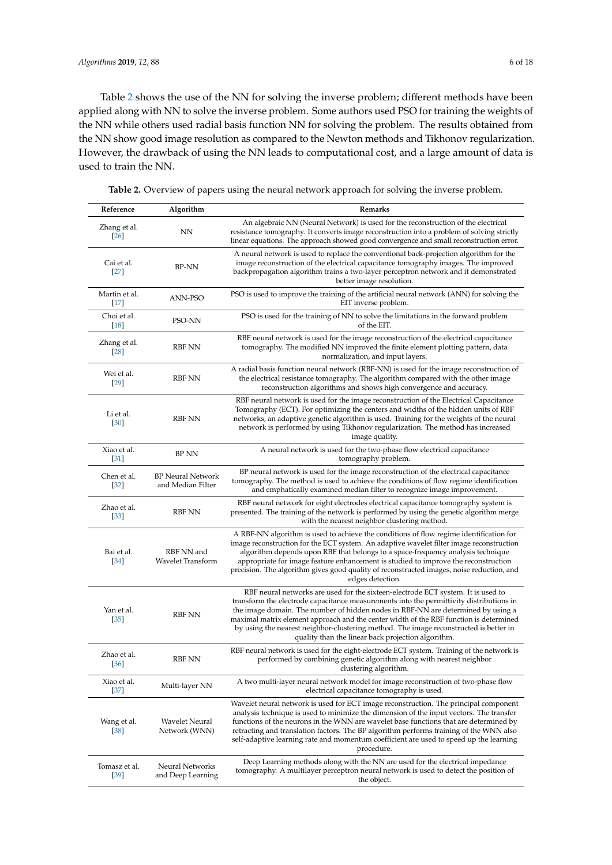Table [2](#page-6-0) shows the use of the NN for solving the inverse problem; different methods have been applied along with NN to solve the inverse problem. Some authors used PSO for training the weights of the NN while others used radial basis function NN for solving the problem. The results obtained from the NN show good image resolution as compared to the Newton methods and Tikhonov regularization. However, the drawback of using the NN leads to computational cost, and a large amount of data is used to train the NN.

| Reference               | Algorithm                                     | Remarks                                                                                                                                                                                                                                                                                                                                                                                                                                                                                                  |
|-------------------------|-----------------------------------------------|----------------------------------------------------------------------------------------------------------------------------------------------------------------------------------------------------------------------------------------------------------------------------------------------------------------------------------------------------------------------------------------------------------------------------------------------------------------------------------------------------------|
| Zhang et al.<br>[26]    | NΝ                                            | An algebraic NN (Neural Network) is used for the reconstruction of the electrical<br>resistance tomography. It converts image reconstruction into a problem of solving strictly<br>linear equations. The approach showed good convergence and small reconstruction error.                                                                                                                                                                                                                                |
| Cai et al.<br>$[27]$    | <b>BP-NN</b>                                  | A neural network is used to replace the conventional back-projection algorithm for the<br>image reconstruction of the electrical capacitance tomography images. The improved<br>backpropagation algorithm trains a two-layer perceptron network and it demonstrated<br>better image resolution.                                                                                                                                                                                                          |
| Martin et al.<br>$[17]$ | ANN-PSO                                       | PSO is used to improve the training of the artificial neural network (ANN) for solving the<br>EIT inverse problem.                                                                                                                                                                                                                                                                                                                                                                                       |
| Choi et al.<br>$[18]$   | PSO-NN                                        | PSO is used for the training of NN to solve the limitations in the forward problem<br>of the EIT.                                                                                                                                                                                                                                                                                                                                                                                                        |
| Zhang et al.<br>$[28]$  | RBF NN                                        | RBF neural network is used for the image reconstruction of the electrical capacitance<br>tomography. The modified NN improved the finite element plotting pattern, data<br>normalization, and input layers.                                                                                                                                                                                                                                                                                              |
| Wei et al.<br>$[29]$    | <b>RBF NN</b>                                 | A radial basis function neural network (RBF-NN) is used for the image reconstruction of<br>the electrical resistance tomography. The algorithm compared with the other image<br>reconstruction algorithms and shows high convergence and accuracy.                                                                                                                                                                                                                                                       |
| Li et al.<br>$[30]$     | <b>RBF NN</b>                                 | RBF neural network is used for the image reconstruction of the Electrical Capacitance<br>Tomography (ECT). For optimizing the centers and widths of the hidden units of RBF<br>networks, an adaptive genetic algorithm is used. Training for the weights of the neural<br>network is performed by using Tikhonov regularization. The method has increased<br>image quality.                                                                                                                              |
| Xiao et al.<br>$[31]$   | <b>BP NN</b>                                  | A neural network is used for the two-phase flow electrical capacitance<br>tomography problem.                                                                                                                                                                                                                                                                                                                                                                                                            |
| Chen et al.<br>$[32]$   | <b>BP Neural Network</b><br>and Median Filter | BP neural network is used for the image reconstruction of the electrical capacitance<br>tomography. The method is used to achieve the conditions of flow regime identification<br>and emphatically examined median filter to recognize image improvement.                                                                                                                                                                                                                                                |
| Zhao et al.<br>$[33]$   | RBF NN                                        | RBF neural network for eight electrodes electrical capacitance tomography system is<br>presented. The training of the network is performed by using the genetic algorithm merge<br>with the nearest neighbor clustering method.                                                                                                                                                                                                                                                                          |
| Bai et al.<br>$[34]$    | RBF NN and<br>Wavelet Transform               | A RBF-NN algorithm is used to achieve the conditions of flow regime identification for<br>image reconstruction for the ECT system. An adaptive wavelet filter image reconstruction<br>algorithm depends upon RBF that belongs to a space-frequency analysis technique<br>appropriate for image feature enhancement is studied to improve the reconstruction<br>precision. The algorithm gives good quality of reconstructed images, noise reduction, and<br>edges detection.                             |
| Yan et al.<br>$[35]$    | <b>RBF NN</b>                                 | RBF neural networks are used for the sixteen-electrode ECT system. It is used to<br>transform the electrode capacitance measurements into the permittivity distributions in<br>the image domain. The number of hidden nodes in RBF-NN are determined by using a<br>maximal matrix element approach and the center width of the RBF function is determined<br>by using the nearest neighbor-clustering method. The image reconstructed is better in<br>quality than the linear back projection algorithm. |
| Zhao et al.<br>$[36]$   | <b>RBF NN</b>                                 | RBF neural network is used for the eight-electrode ECT system. Training of the network is<br>performed by combining genetic algorithm along with nearest neighbor<br>clustering algorithm.                                                                                                                                                                                                                                                                                                               |
| Xiao et al.<br>[37]     | Multi-layer NN                                | A two multi-layer neural network model for image reconstruction of two-phase flow<br>electrical capacitance tomography is used.                                                                                                                                                                                                                                                                                                                                                                          |
| Wang et al.<br>$[38]$   | Wavelet Neural<br>Network (WNN)               | Wavelet neural network is used for ECT image reconstruction. The principal component<br>analysis technique is used to minimize the dimension of the input vectors. The transfer<br>functions of the neurons in the WNN are wavelet base functions that are determined by<br>retracting and translation factors. The BP algorithm performs training of the WNN also<br>self-adaptive learning rate and momentum coefficient are used to speed up the learning<br>procedure.                               |
| Tomasz et al.<br>$[39]$ | Neural Networks<br>and Deep Learning          | Deep Learning methods along with the NN are used for the electrical impedance<br>tomography. A multilayer perceptron neural network is used to detect the position of<br>the object.                                                                                                                                                                                                                                                                                                                     |

**Table 2.** Overview of papers using the neural network approach for solving the inverse problem.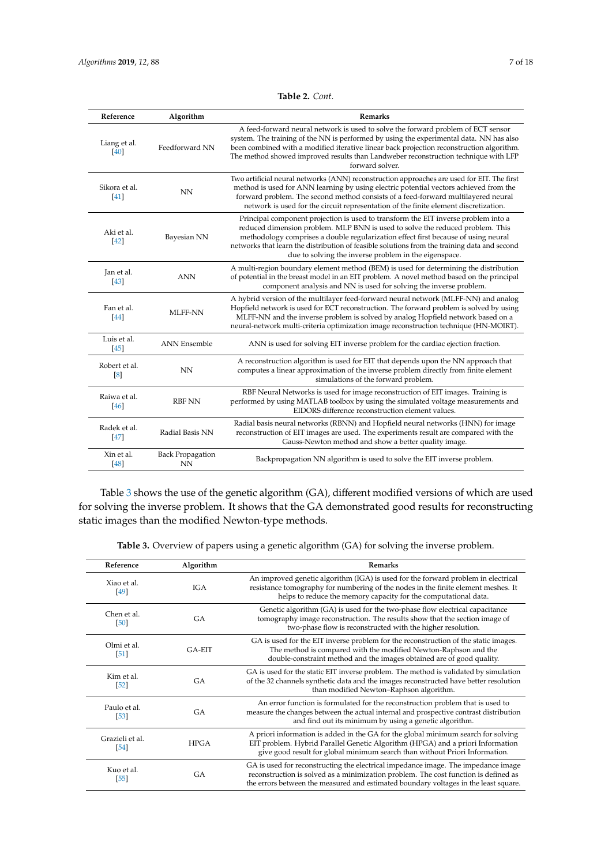| Table 2. Cont. |  |
|----------------|--|
|----------------|--|

<span id="page-6-0"></span>

| Reference              | Algorithm                            | <b>Remarks</b>                                                                                                                                                                                                                                                                                                                                                                                                     |
|------------------------|--------------------------------------|--------------------------------------------------------------------------------------------------------------------------------------------------------------------------------------------------------------------------------------------------------------------------------------------------------------------------------------------------------------------------------------------------------------------|
| Liang et al.<br>[40]   | Feedforward NN                       | A feed-forward neural network is used to solve the forward problem of ECT sensor<br>system. The training of the NN is performed by using the experimental data. NN has also<br>been combined with a modified iterative linear back projection reconstruction algorithm.<br>The method showed improved results than Landweber reconstruction technique with LFP<br>forward solver.                                  |
| Sikora et al.<br>41    | NN                                   | Two artificial neural networks (ANN) reconstruction approaches are used for EIT. The first<br>method is used for ANN learning by using electric potential vectors achieved from the<br>forward problem. The second method consists of a feed-forward multilayered neural<br>network is used for the circuit representation of the finite element discretization.                                                   |
| Aki et al.<br>[42]     | Bayesian NN                          | Principal component projection is used to transform the EIT inverse problem into a<br>reduced dimension problem. MLP BNN is used to solve the reduced problem. This<br>methodology comprises a double regularization effect first because of using neural<br>networks that learn the distribution of feasible solutions from the training data and second<br>due to solving the inverse problem in the eigenspace. |
| Jan et al.<br>[43]     | <b>ANN</b>                           | A multi-region boundary element method (BEM) is used for determining the distribution<br>of potential in the breast model in an EIT problem. A novel method based on the principal<br>component analysis and NN is used for solving the inverse problem.                                                                                                                                                           |
| Fan et al.<br>[44]     | <b>MLFF-NN</b>                       | A hybrid version of the multilayer feed-forward neural network (MLFF-NN) and analog<br>Hopfield network is used for ECT reconstruction. The forward problem is solved by using<br>MLFF-NN and the inverse problem is solved by analog Hopfield network based on a<br>neural-network multi-criteria optimization image reconstruction technique (HN-MOIRT).                                                         |
| Luis et al.<br>$[45]$  | <b>ANN</b> Ensemble                  | ANN is used for solving EIT inverse problem for the cardiac ejection fraction.                                                                                                                                                                                                                                                                                                                                     |
| Robert et al.<br>[8]   | NN                                   | A reconstruction algorithm is used for EIT that depends upon the NN approach that<br>computes a linear approximation of the inverse problem directly from finite element<br>simulations of the forward problem.                                                                                                                                                                                                    |
| Raiwa et al.<br>$[46]$ | <b>RBF NN</b>                        | RBF Neural Networks is used for image reconstruction of EIT images. Training is<br>performed by using MATLAB toolbox by using the simulated voltage measurements and<br>EIDORS difference reconstruction element values.                                                                                                                                                                                           |
| Radek et al.<br>$[47]$ | Radial Basis NN                      | Radial basis neural networks (RBNN) and Hopfield neural networks (HNN) for image<br>reconstruction of EIT images are used. The experiments result are compared with the<br>Gauss-Newton method and show a better quality image.                                                                                                                                                                                    |
| Xin et al.<br>$[48]$   | <b>Back Propagation</b><br><b>NN</b> | Backpropagation NN algorithm is used to solve the EIT inverse problem.                                                                                                                                                                                                                                                                                                                                             |

Table [3](#page-6-1) shows the use of the genetic algorithm (GA), different modified versions of which are used for solving the inverse problem. It shows that the GA demonstrated good results for reconstructing static images than the modified Newton-type methods.

**Table 3.** Overview of papers using a genetic algorithm (GA) for solving the inverse problem.

<span id="page-6-1"></span>

| Reference                       | Algorithm   | Remarks                                                                                                                                                                                                                                                          |
|---------------------------------|-------------|------------------------------------------------------------------------------------------------------------------------------------------------------------------------------------------------------------------------------------------------------------------|
| Xiao et al.<br>49               | <b>IGA</b>  | An improved genetic algorithm (IGA) is used for the forward problem in electrical<br>resistance tomography for numbering of the nodes in the finite element meshes. It<br>helps to reduce the memory capacity for the computational data.                        |
| Chen et al.<br>[50]             | <b>GA</b>   | Genetic algorithm (GA) is used for the two-phase flow electrical capacitance<br>tomography image reconstruction. The results show that the section image of<br>two-phase flow is reconstructed with the higher resolution.                                       |
| Olmi et al.<br>$\vert 51 \vert$ | $GA-FIT$    | GA is used for the EIT inverse problem for the reconstruction of the static images.<br>The method is compared with the modified Newton-Raphson and the<br>double-constraint method and the images obtained are of good quality.                                  |
| Kim et al.<br>52                | <b>GA</b>   | GA is used for the static EIT inverse problem. The method is validated by simulation<br>of the 32 channels synthetic data and the images reconstructed have better resolution<br>than modified Newton-Raphson algorithm.                                         |
| Paulo et al.<br>53              | GA          | An error function is formulated for the reconstruction problem that is used to<br>measure the changes between the actual internal and prospective contrast distribution<br>and find out its minimum by using a genetic algorithm.                                |
| Grazieli et al.<br>$[54]$       | <b>HPGA</b> | A priori information is added in the GA for the global minimum search for solving<br>EIT problem. Hybrid Parallel Genetic Algorithm (HPGA) and a priori Information<br>give good result for global minimum search than without Priori Information.               |
| Kuo et al.<br>$[55]$            | <b>GA</b>   | GA is used for reconstructing the electrical impedance image. The impedance image<br>reconstruction is solved as a minimization problem. The cost function is defined as<br>the errors between the measured and estimated boundary voltages in the least square. |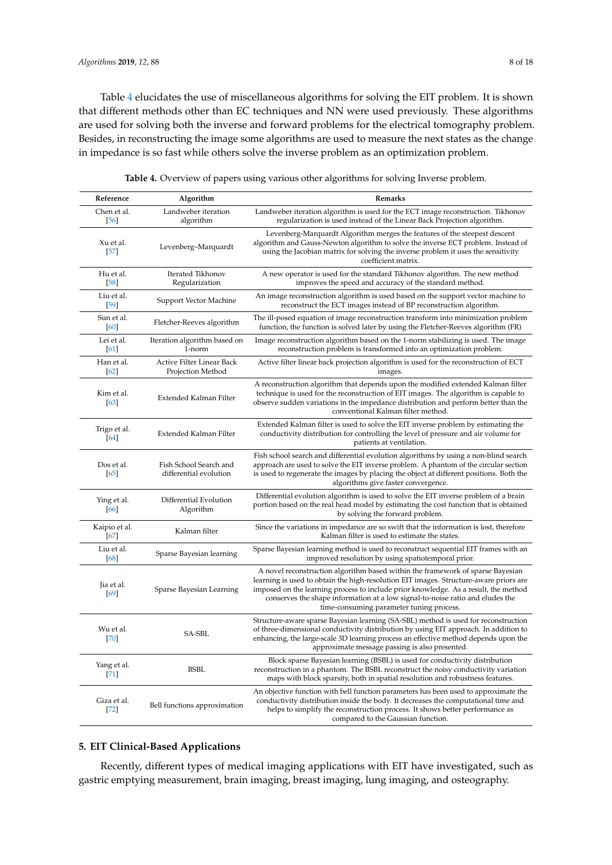Table [4](#page-7-0) elucidates the use of miscellaneous algorithms for solving the EIT problem. It is shown that different methods other than EC techniques and NN were used previously. These algorithms are used for solving both the inverse and forward problems for the electrical tomography problem. Besides, in reconstructing the image some algorithms are used to measure the next states as the change in impedance is so fast while others solve the inverse problem as an optimization problem.

<span id="page-7-0"></span>

| Reference               | Algorithm                                        | Remarks                                                                                                                                                                                                                                                                                                                                                                                     |  |  |
|-------------------------|--------------------------------------------------|---------------------------------------------------------------------------------------------------------------------------------------------------------------------------------------------------------------------------------------------------------------------------------------------------------------------------------------------------------------------------------------------|--|--|
| Chen et al.<br>[56]     | Landweber iteration<br>algorithm                 | Landweber iteration algorithm is used for the ECT image reconstruction. Tikhonov<br>regularization is used instead of the Linear Back Projection algorithm.                                                                                                                                                                                                                                 |  |  |
| Xu et al.<br>$[57]$     | Levenberg-Marquardt                              | Levenberg-Marquardt Algorithm merges the features of the steepest descent<br>algorithm and Gauss-Newton algorithm to solve the inverse ECT problem. Instead of<br>using the Jacobian matrix for solving the inverse problem it uses the sensitivity<br>coefficient matrix.                                                                                                                  |  |  |
| Hu et al.<br>$[58]$     | Iterated Tikhonov<br>Regularization              | A new operator is used for the standard Tikhonov algorithm. The new method<br>improves the speed and accuracy of the standard method.                                                                                                                                                                                                                                                       |  |  |
| Liu et al.<br>$[59]$    | Support Vector Machine                           | An image reconstruction algorithm is used based on the support vector machine to<br>reconstruct the ECT images instead of BP reconstruction algorithm.                                                                                                                                                                                                                                      |  |  |
| Sun et al.<br>[60]      | Fletcher-Reeves algorithm                        | The ill-posed equation of image reconstruction transform into minimization problem<br>function, the function is solved later by using the Fletcher-Reeves algorithm (FR)                                                                                                                                                                                                                    |  |  |
| Lei et al.<br>[61]      | Iteration algorithm based on<br>1-norm           | Image reconstruction algorithm based on the 1-norm stabilizing is used. The image<br>reconstruction problem is transformed into an optimization problem.                                                                                                                                                                                                                                    |  |  |
| Han et al.<br>62        | Active Filter Linear Back<br>Projection Method   | Active filter linear back projection algorithm is used for the reconstruction of ECT<br>images.                                                                                                                                                                                                                                                                                             |  |  |
| Kim et al.<br>[63]      | Extended Kalman Filter                           | A reconstruction algorithm that depends upon the modified extended Kalman filter<br>technique is used for the reconstruction of EIT images. The algorithm is capable to<br>observe sudden variations in the impedance distribution and perform better than the<br>conventional Kalman filter method.                                                                                        |  |  |
| Trigo et al.<br>[64]    | Extended Kalman Filter                           | Extended Kalman filter is used to solve the EIT inverse problem by estimating the<br>conductivity distribution for controlling the level of pressure and air volume for<br>patients at ventilation.                                                                                                                                                                                         |  |  |
| Dos et al.<br>$[65]$    | Fish School Search and<br>differential evolution | Fish school search and differential evolution algorithms by using a non-blind search<br>approach are used to solve the EIT inverse problem. A phantom of the circular section<br>is used to regenerate the images by placing the object at different positions. Both the<br>algorithms give faster convergence.                                                                             |  |  |
| Ying et al.<br>[66]     | Differential Evolution<br>Algorithm              | Differential evolution algorithm is used to solve the EIT inverse problem of a brain<br>portion based on the real head model by estimating the cost function that is obtained<br>by solving the forward problem.                                                                                                                                                                            |  |  |
| Kaipio et al.<br>$[67]$ | Kalman filter                                    | Since the variations in impedance are so swift that the information is lost, therefore<br>Kalman filter is used to estimate the states.                                                                                                                                                                                                                                                     |  |  |
| Liu et al.<br>[68]      | Sparse Bayesian learning                         | Sparse Bayesian learning method is used to reconstruct sequential EIT frames with an<br>improved resolution by using spatiotemporal prior.                                                                                                                                                                                                                                                  |  |  |
| Jia et al.<br>[69]      | Sparse Bayesian Learning                         | A novel reconstruction algorithm based within the framework of sparse Bayesian<br>learning is used to obtain the high-resolution EIT images. Structure-aware priors are<br>imposed on the learning process to include prior knowledge. As a result, the method<br>conserves the shape information at a low signal-to-noise ratio and eludes the<br>time-consuming parameter tuning process. |  |  |
| Wu et al.<br>[70]       | SA-SBL                                           | Structure-aware sparse Bayesian learning (SA-SBL) method is used for reconstruction<br>of three-dimensional conductivity distribution by using EIT approach. In addition to<br>enhancing, the large-scale 3D learning process an effective method depends upon the<br>approximate message passing is also presented.                                                                        |  |  |
| Yang et al.<br>$[71]$   | <b>BSBL</b>                                      | Block sparse Bayesian learning (BSBL) is used for conductivity distribution<br>reconstruction in a phantom. The BSBL reconstruct the noisy conductivity variation<br>maps with block sparsity, both in spatial resolution and robustness features.                                                                                                                                          |  |  |
| Giza et al.<br>$[72]$   | Bell functions approximation                     | An objective function with bell function parameters has been used to approximate the<br>conductivity distribution inside the body. It decreases the computational time and<br>helps to simplify the reconstruction process. It shows better performance as<br>compared to the Gaussian function.                                                                                            |  |  |

**Table 4.** Overview of papers using various other algorithms for solving Inverse problem.

## **5. EIT Clinical-Based Applications**

Recently, different types of medical imaging applications with EIT have investigated, such as gastric emptying measurement, brain imaging, breast imaging, lung imaging, and osteography.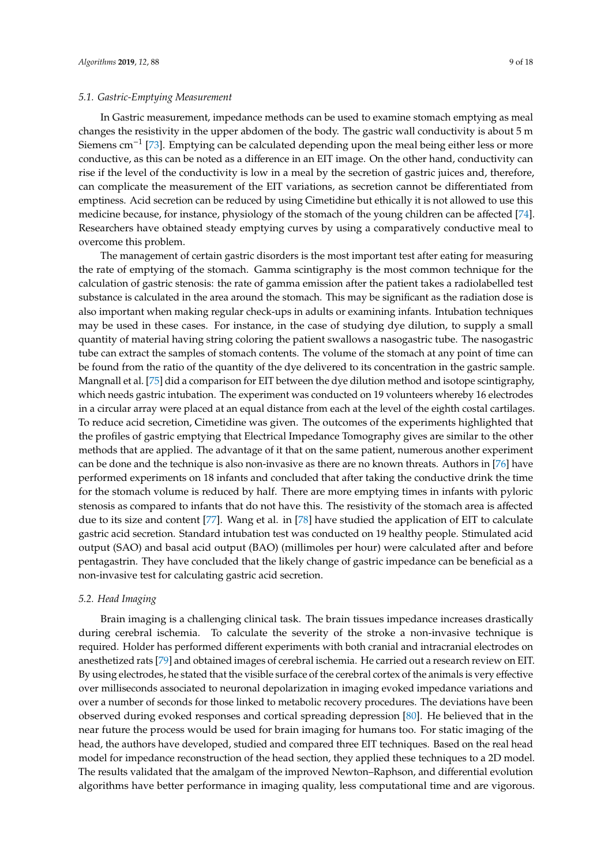In Gastric measurement, impedance methods can be used to examine stomach emptying as meal changes the resistivity in the upper abdomen of the body. The gastric wall conductivity is about 5 m Siemens cm−<sup>1</sup> [\[73\]](#page-16-7). Emptying can be calculated depending upon the meal being either less or more conductive, as this can be noted as a difference in an EIT image. On the other hand, conductivity can rise if the level of the conductivity is low in a meal by the secretion of gastric juices and, therefore, can complicate the measurement of the EIT variations, as secretion cannot be differentiated from emptiness. Acid secretion can be reduced by using Cimetidine but ethically it is not allowed to use this medicine because, for instance, physiology of the stomach of the young children can be affected [\[74\]](#page-16-8). Researchers have obtained steady emptying curves by using a comparatively conductive meal to overcome this problem.

The management of certain gastric disorders is the most important test after eating for measuring the rate of emptying of the stomach. Gamma scintigraphy is the most common technique for the calculation of gastric stenosis: the rate of gamma emission after the patient takes a radiolabelled test substance is calculated in the area around the stomach. This may be significant as the radiation dose is also important when making regular check-ups in adults or examining infants. Intubation techniques may be used in these cases. For instance, in the case of studying dye dilution, to supply a small quantity of material having string coloring the patient swallows a nasogastric tube. The nasogastric tube can extract the samples of stomach contents. The volume of the stomach at any point of time can be found from the ratio of the quantity of the dye delivered to its concentration in the gastric sample. Mangnall et al. [\[75\]](#page-16-9) did a comparison for EIT between the dye dilution method and isotope scintigraphy, which needs gastric intubation. The experiment was conducted on 19 volunteers whereby 16 electrodes in a circular array were placed at an equal distance from each at the level of the eighth costal cartilages. To reduce acid secretion, Cimetidine was given. The outcomes of the experiments highlighted that the profiles of gastric emptying that Electrical Impedance Tomography gives are similar to the other methods that are applied. The advantage of it that on the same patient, numerous another experiment can be done and the technique is also non-invasive as there are no known threats. Authors in [\[76\]](#page-16-10) have performed experiments on 18 infants and concluded that after taking the conductive drink the time for the stomach volume is reduced by half. There are more emptying times in infants with pyloric stenosis as compared to infants that do not have this. The resistivity of the stomach area is affected due to its size and content [\[77\]](#page-16-11). Wang et al. in [\[78\]](#page-16-12) have studied the application of EIT to calculate gastric acid secretion. Standard intubation test was conducted on 19 healthy people. Stimulated acid output (SAO) and basal acid output (BAO) (millimoles per hour) were calculated after and before pentagastrin. They have concluded that the likely change of gastric impedance can be beneficial as a non-invasive test for calculating gastric acid secretion.

### *5.2. Head Imaging*

Brain imaging is a challenging clinical task. The brain tissues impedance increases drastically during cerebral ischemia. To calculate the severity of the stroke a non-invasive technique is required. Holder has performed different experiments with both cranial and intracranial electrodes on anesthetized rats [\[79\]](#page-16-13) and obtained images of cerebral ischemia. He carried out a research review on EIT. By using electrodes, he stated that the visible surface of the cerebral cortex of the animals is very effective over milliseconds associated to neuronal depolarization in imaging evoked impedance variations and over a number of seconds for those linked to metabolic recovery procedures. The deviations have been observed during evoked responses and cortical spreading depression [\[80\]](#page-16-14). He believed that in the near future the process would be used for brain imaging for humans too. For static imaging of the head, the authors have developed, studied and compared three EIT techniques. Based on the real head model for impedance reconstruction of the head section, they applied these techniques to a 2D model. The results validated that the amalgam of the improved Newton–Raphson, and differential evolution algorithms have better performance in imaging quality, less computational time and are vigorous.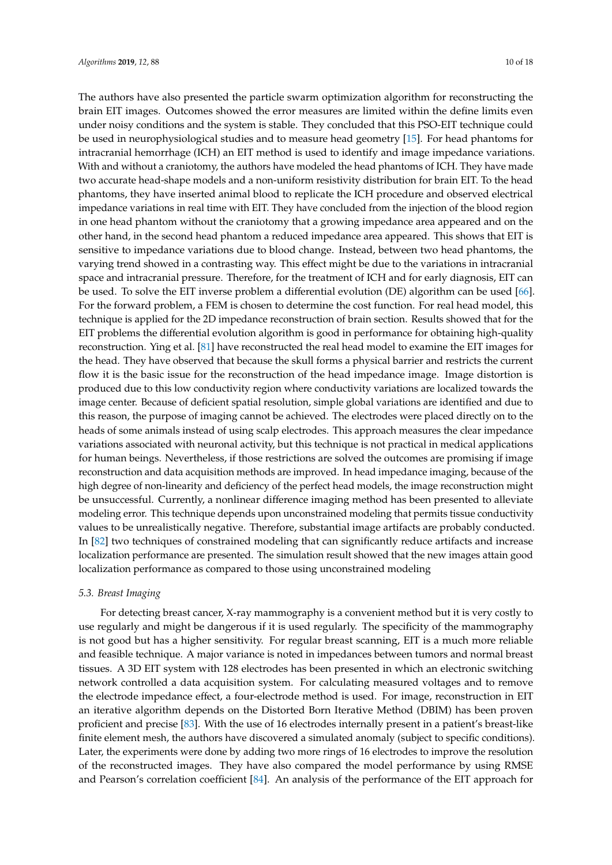The authors have also presented the particle swarm optimization algorithm for reconstructing the brain EIT images. Outcomes showed the error measures are limited within the define limits even under noisy conditions and the system is stable. They concluded that this PSO-EIT technique could be used in neurophysiological studies and to measure head geometry [\[15\]](#page-13-13). For head phantoms for intracranial hemorrhage (ICH) an EIT method is used to identify and image impedance variations. With and without a craniotomy, the authors have modeled the head phantoms of ICH. They have made two accurate head-shape models and a non-uniform resistivity distribution for brain EIT. To the head phantoms, they have inserted animal blood to replicate the ICH procedure and observed electrical impedance variations in real time with EIT. They have concluded from the injection of the blood region in one head phantom without the craniotomy that a growing impedance area appeared and on the other hand, in the second head phantom a reduced impedance area appeared. This shows that EIT is sensitive to impedance variations due to blood change. Instead, between two head phantoms, the varying trend showed in a contrasting way. This effect might be due to the variations in intracranial space and intracranial pressure. Therefore, for the treatment of ICH and for early diagnosis, EIT can be used. To solve the EIT inverse problem a differential evolution (DE) algorithm can be used [\[66\]](#page-16-0). For the forward problem, a FEM is chosen to determine the cost function. For real head model, this technique is applied for the 2D impedance reconstruction of brain section. Results showed that for the EIT problems the differential evolution algorithm is good in performance for obtaining high-quality reconstruction. Ying et al. [\[81\]](#page-16-15) have reconstructed the real head model to examine the EIT images for the head. They have observed that because the skull forms a physical barrier and restricts the current flow it is the basic issue for the reconstruction of the head impedance image. Image distortion is produced due to this low conductivity region where conductivity variations are localized towards the image center. Because of deficient spatial resolution, simple global variations are identified and due to this reason, the purpose of imaging cannot be achieved. The electrodes were placed directly on to the heads of some animals instead of using scalp electrodes. This approach measures the clear impedance variations associated with neuronal activity, but this technique is not practical in medical applications for human beings. Nevertheless, if those restrictions are solved the outcomes are promising if image reconstruction and data acquisition methods are improved. In head impedance imaging, because of the high degree of non-linearity and deficiency of the perfect head models, the image reconstruction might be unsuccessful. Currently, a nonlinear difference imaging method has been presented to alleviate modeling error. This technique depends upon unconstrained modeling that permits tissue conductivity values to be unrealistically negative. Therefore, substantial image artifacts are probably conducted. In [\[82\]](#page-16-16) two techniques of constrained modeling that can significantly reduce artifacts and increase localization performance are presented. The simulation result showed that the new images attain good localization performance as compared to those using unconstrained modeling

#### *5.3. Breast Imaging*

For detecting breast cancer, X-ray mammography is a convenient method but it is very costly to use regularly and might be dangerous if it is used regularly. The specificity of the mammography is not good but has a higher sensitivity. For regular breast scanning, EIT is a much more reliable and feasible technique. A major variance is noted in impedances between tumors and normal breast tissues. A 3D EIT system with 128 electrodes has been presented in which an electronic switching network controlled a data acquisition system. For calculating measured voltages and to remove the electrode impedance effect, a four-electrode method is used. For image, reconstruction in EIT an iterative algorithm depends on the Distorted Born Iterative Method (DBIM) has been proven proficient and precise [\[83\]](#page-16-17). With the use of 16 electrodes internally present in a patient's breast-like finite element mesh, the authors have discovered a simulated anomaly (subject to specific conditions). Later, the experiments were done by adding two more rings of 16 electrodes to improve the resolution of the reconstructed images. They have also compared the model performance by using RMSE and Pearson's correlation coefficient [\[84\]](#page-16-18). An analysis of the performance of the EIT approach for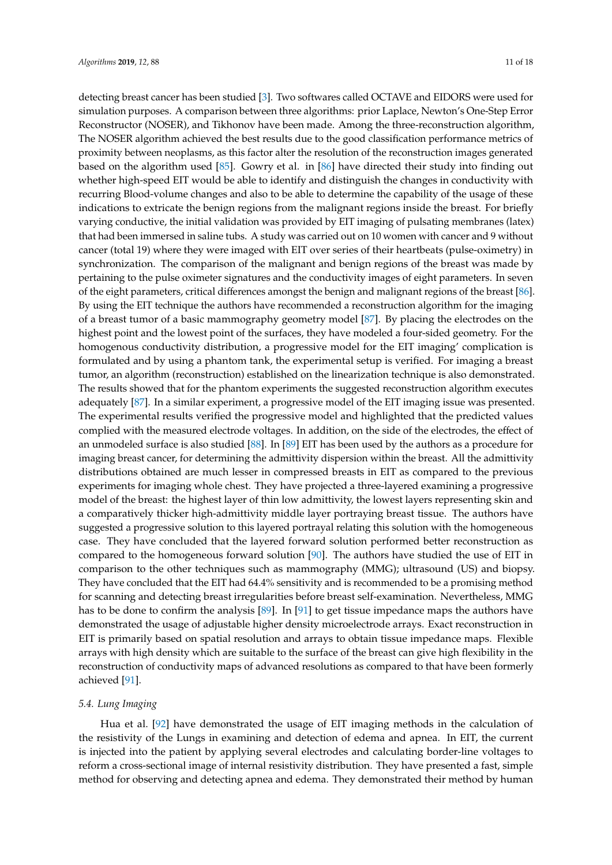detecting breast cancer has been studied [\[3\]](#page-13-1). Two softwares called OCTAVE and EIDORS were used for simulation purposes. A comparison between three algorithms: prior Laplace, Newton's One-Step Error Reconstructor (NOSER), and Tikhonov have been made. Among the three-reconstruction algorithm, The NOSER algorithm achieved the best results due to the good classification performance metrics of proximity between neoplasms, as this factor alter the resolution of the reconstruction images generated based on the algorithm used [\[85\]](#page-16-19). Gowry et al. in [\[86\]](#page-17-0) have directed their study into finding out whether high-speed EIT would be able to identify and distinguish the changes in conductivity with recurring Blood-volume changes and also to be able to determine the capability of the usage of these indications to extricate the benign regions from the malignant regions inside the breast. For briefly varying conductive, the initial validation was provided by EIT imaging of pulsating membranes (latex) that had been immersed in saline tubs. A study was carried out on 10 women with cancer and 9 without cancer (total 19) where they were imaged with EIT over series of their heartbeats (pulse-oximetry) in synchronization. The comparison of the malignant and benign regions of the breast was made by pertaining to the pulse oximeter signatures and the conductivity images of eight parameters. In seven of the eight parameters, critical differences amongst the benign and malignant regions of the breast [\[86\]](#page-17-0). By using the EIT technique the authors have recommended a reconstruction algorithm for the imaging of a breast tumor of a basic mammography geometry model [\[87\]](#page-17-1). By placing the electrodes on the highest point and the lowest point of the surfaces, they have modeled a four-sided geometry. For the homogenous conductivity distribution, a progressive model for the EIT imaging' complication is formulated and by using a phantom tank, the experimental setup is verified. For imaging a breast tumor, an algorithm (reconstruction) established on the linearization technique is also demonstrated. The results showed that for the phantom experiments the suggested reconstruction algorithm executes adequately [\[87\]](#page-17-1). In a similar experiment, a progressive model of the EIT imaging issue was presented. The experimental results verified the progressive model and highlighted that the predicted values complied with the measured electrode voltages. In addition, on the side of the electrodes, the effect of an unmodeled surface is also studied [\[88\]](#page-17-2). In [\[89\]](#page-17-3) EIT has been used by the authors as a procedure for imaging breast cancer, for determining the admittivity dispersion within the breast. All the admittivity distributions obtained are much lesser in compressed breasts in EIT as compared to the previous experiments for imaging whole chest. They have projected a three-layered examining a progressive model of the breast: the highest layer of thin low admittivity, the lowest layers representing skin and a comparatively thicker high-admittivity middle layer portraying breast tissue. The authors have suggested a progressive solution to this layered portrayal relating this solution with the homogeneous case. They have concluded that the layered forward solution performed better reconstruction as compared to the homogeneous forward solution [\[90\]](#page-17-4). The authors have studied the use of EIT in comparison to the other techniques such as mammography (MMG); ultrasound (US) and biopsy. They have concluded that the EIT had 64.4% sensitivity and is recommended to be a promising method for scanning and detecting breast irregularities before breast self-examination. Nevertheless, MMG has to be done to confirm the analysis [\[89\]](#page-17-3). In [\[91\]](#page-17-5) to get tissue impedance maps the authors have demonstrated the usage of adjustable higher density microelectrode arrays. Exact reconstruction in EIT is primarily based on spatial resolution and arrays to obtain tissue impedance maps. Flexible arrays with high density which are suitable to the surface of the breast can give high flexibility in the reconstruction of conductivity maps of advanced resolutions as compared to that have been formerly achieved [\[91\]](#page-17-5).

# *5.4. Lung Imaging*

Hua et al. [\[92\]](#page-17-6) have demonstrated the usage of EIT imaging methods in the calculation of the resistivity of the Lungs in examining and detection of edema and apnea. In EIT, the current is injected into the patient by applying several electrodes and calculating border-line voltages to reform a cross-sectional image of internal resistivity distribution. They have presented a fast, simple method for observing and detecting apnea and edema. They demonstrated their method by human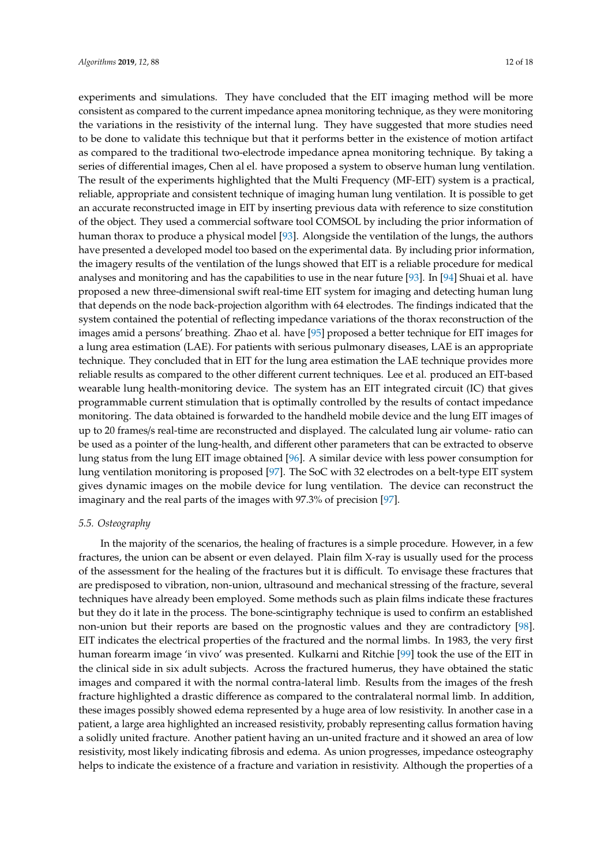experiments and simulations. They have concluded that the EIT imaging method will be more consistent as compared to the current impedance apnea monitoring technique, as they were monitoring the variations in the resistivity of the internal lung. They have suggested that more studies need to be done to validate this technique but that it performs better in the existence of motion artifact as compared to the traditional two-electrode impedance apnea monitoring technique. By taking a series of differential images, Chen al el. have proposed a system to observe human lung ventilation. The result of the experiments highlighted that the Multi Frequency (MF-EIT) system is a practical, reliable, appropriate and consistent technique of imaging human lung ventilation. It is possible to get an accurate reconstructed image in EIT by inserting previous data with reference to size constitution of the object. They used a commercial software tool COMSOL by including the prior information of human thorax to produce a physical model [\[93\]](#page-17-7). Alongside the ventilation of the lungs, the authors have presented a developed model too based on the experimental data. By including prior information, the imagery results of the ventilation of the lungs showed that EIT is a reliable procedure for medical analyses and monitoring and has the capabilities to use in the near future [\[93\]](#page-17-7). In [\[94\]](#page-17-8) Shuai et al. have proposed a new three-dimensional swift real-time EIT system for imaging and detecting human lung that depends on the node back-projection algorithm with 64 electrodes. The findings indicated that the system contained the potential of reflecting impedance variations of the thorax reconstruction of the images amid a persons' breathing. Zhao et al. have [\[95\]](#page-17-9) proposed a better technique for EIT images for a lung area estimation (LAE). For patients with serious pulmonary diseases, LAE is an appropriate technique. They concluded that in EIT for the lung area estimation the LAE technique provides more reliable results as compared to the other different current techniques. Lee et al. produced an EIT-based wearable lung health-monitoring device. The system has an EIT integrated circuit (IC) that gives programmable current stimulation that is optimally controlled by the results of contact impedance monitoring. The data obtained is forwarded to the handheld mobile device and the lung EIT images of up to 20 frames/s real-time are reconstructed and displayed. The calculated lung air volume- ratio can be used as a pointer of the lung-health, and different other parameters that can be extracted to observe lung status from the lung EIT image obtained [\[96\]](#page-17-10). A similar device with less power consumption for lung ventilation monitoring is proposed [\[97\]](#page-17-11). The SoC with 32 electrodes on a belt-type EIT system gives dynamic images on the mobile device for lung ventilation. The device can reconstruct the imaginary and the real parts of the images with 97.3% of precision [\[97\]](#page-17-11).

#### *5.5. Osteography*

In the majority of the scenarios, the healing of fractures is a simple procedure. However, in a few fractures, the union can be absent or even delayed. Plain film X-ray is usually used for the process of the assessment for the healing of the fractures but it is difficult. To envisage these fractures that are predisposed to vibration, non-union, ultrasound and mechanical stressing of the fracture, several techniques have already been employed. Some methods such as plain films indicate these fractures but they do it late in the process. The bone-scintigraphy technique is used to confirm an established non-union but their reports are based on the prognostic values and they are contradictory [\[98\]](#page-17-12). EIT indicates the electrical properties of the fractured and the normal limbs. In 1983, the very first human forearm image 'in vivo' was presented. Kulkarni and Ritchie [\[99\]](#page-17-13) took the use of the EIT in the clinical side in six adult subjects. Across the fractured humerus, they have obtained the static images and compared it with the normal contra-lateral limb. Results from the images of the fresh fracture highlighted a drastic difference as compared to the contralateral normal limb. In addition, these images possibly showed edema represented by a huge area of low resistivity. In another case in a patient, a large area highlighted an increased resistivity, probably representing callus formation having a solidly united fracture. Another patient having an un-united fracture and it showed an area of low resistivity, most likely indicating fibrosis and edema. As union progresses, impedance osteography helps to indicate the existence of a fracture and variation in resistivity. Although the properties of a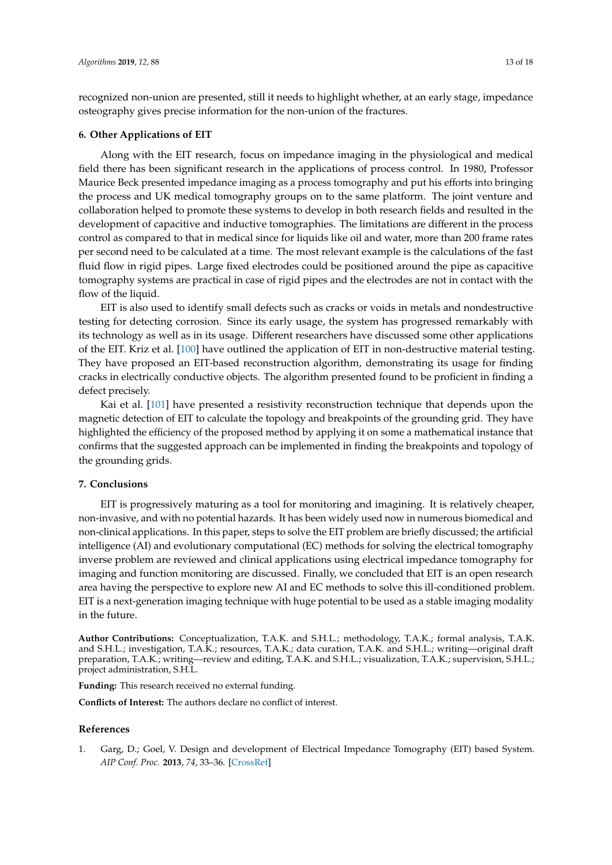recognized non-union are presented, still it needs to highlight whether, at an early stage, impedance osteography gives precise information for the non-union of the fractures.

#### **6. Other Applications of EIT**

Along with the EIT research, focus on impedance imaging in the physiological and medical field there has been significant research in the applications of process control. In 1980, Professor Maurice Beck presented impedance imaging as a process tomography and put his efforts into bringing the process and UK medical tomography groups on to the same platform. The joint venture and collaboration helped to promote these systems to develop in both research fields and resulted in the development of capacitive and inductive tomographies. The limitations are different in the process control as compared to that in medical since for liquids like oil and water, more than 200 frame rates per second need to be calculated at a time. The most relevant example is the calculations of the fast fluid flow in rigid pipes. Large fixed electrodes could be positioned around the pipe as capacitive tomography systems are practical in case of rigid pipes and the electrodes are not in contact with the flow of the liquid.

EIT is also used to identify small defects such as cracks or voids in metals and nondestructive testing for detecting corrosion. Since its early usage, the system has progressed remarkably with its technology as well as in its usage. Different researchers have discussed some other applications of the EIT. Kriz et al. [\[100\]](#page-17-14) have outlined the application of EIT in non-destructive material testing. They have proposed an EIT-based reconstruction algorithm, demonstrating its usage for finding cracks in electrically conductive objects. The algorithm presented found to be proficient in finding a defect precisely.

Kai et al. [\[101\]](#page-17-15) have presented a resistivity reconstruction technique that depends upon the magnetic detection of EIT to calculate the topology and breakpoints of the grounding grid. They have highlighted the efficiency of the proposed method by applying it on some a mathematical instance that confirms that the suggested approach can be implemented in finding the breakpoints and topology of the grounding grids.

## **7. Conclusions**

EIT is progressively maturing as a tool for monitoring and imagining. It is relatively cheaper, non-invasive, and with no potential hazards. It has been widely used now in numerous biomedical and non-clinical applications. In this paper, steps to solve the EIT problem are briefly discussed; the artificial intelligence (AI) and evolutionary computational (EC) methods for solving the electrical tomography inverse problem are reviewed and clinical applications using electrical impedance tomography for imaging and function monitoring are discussed. Finally, we concluded that EIT is an open research area having the perspective to explore new AI and EC methods to solve this ill-conditioned problem. EIT is a next-generation imaging technique with huge potential to be used as a stable imaging modality in the future.

**Author Contributions:** Conceptualization, T.A.K. and S.H.L.; methodology, T.A.K.; formal analysis, T.A.K. and S.H.L.; investigation, T.A.K.; resources, T.A.K.; data curation, T.A.K. and S.H.L.; writing—original draft preparation, T.A.K.; writing—review and editing, T.A.K. and S.H.L.; visualization, T.A.K.; supervision, S.H.L.; project administration, S.H.L.

**Funding:** This research received no external funding.

**Conflicts of Interest:** The authors declare no conflict of interest.

#### **References**

<span id="page-12-0"></span>1. Garg, D.; Goel, V. Design and development of Electrical Impedance Tomography (EIT) based System. *AIP Conf. Proc.* **2013**, *74*, 33–36. [\[CrossRef\]](http://dx.doi.org/10.5120/12901-9848)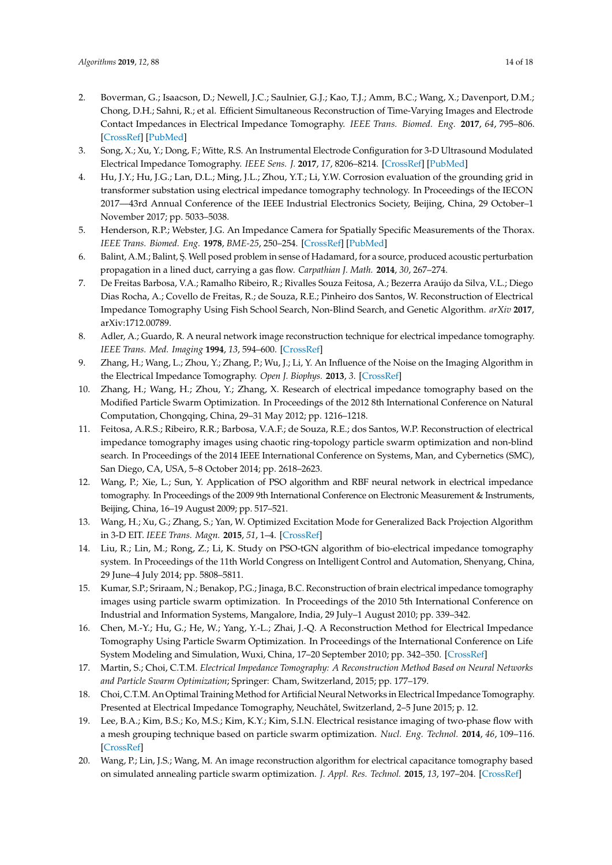- <span id="page-13-0"></span>2. Boverman, G.; Isaacson, D.; Newell, J.C.; Saulnier, G.J.; Kao, T.J.; Amm, B.C.; Wang, X.; Davenport, D.M.; Chong, D.H.; Sahni, R.; et al. Efficient Simultaneous Reconstruction of Time-Varying Images and Electrode Contact Impedances in Electrical Impedance Tomography. *IEEE Trans. Biomed. Eng.* **2017**, *64*, 795–806. [\[CrossRef\]](http://dx.doi.org/10.1109/TBME.2016.2578646) [\[PubMed\]](http://www.ncbi.nlm.nih.gov/pubmed/27295649)
- <span id="page-13-1"></span>3. Song, X.; Xu, Y.; Dong, F.; Witte, R.S. An Instrumental Electrode Configuration for 3-D Ultrasound Modulated Electrical Impedance Tomography. *IEEE Sens. J.* **2017**, *17*, 8206–8214. [\[CrossRef\]](http://dx.doi.org/10.1109/JSEN.2017.2706758) [\[PubMed\]](http://www.ncbi.nlm.nih.gov/pubmed/29531503)
- <span id="page-13-2"></span>4. Hu, J.Y.; Hu, J.G.; Lan, D.L.; Ming, J.L.; Zhou, Y.T.; Li, Y.W. Corrosion evaluation of the grounding grid in transformer substation using electrical impedance tomography technology. In Proceedings of the IECON 2017—43rd Annual Conference of the IEEE Industrial Electronics Society, Beijing, China, 29 October–1 November 2017; pp. 5033–5038.
- <span id="page-13-3"></span>5. Henderson, R.P.; Webster, J.G. An Impedance Camera for Spatially Specific Measurements of the Thorax. *IEEE Trans. Biomed. Eng.* **1978**, *BME-25*, 250–254. [\[CrossRef\]](http://dx.doi.org/10.1109/TBME.1978.326329) [\[PubMed\]](http://www.ncbi.nlm.nih.gov/pubmed/680754)
- <span id="page-13-4"></span>6. Balint, A.M.; Balint, Ş. Well posed problem in sense of Hadamard, for a source, produced acoustic perturbation propagation in a lined duct, carrying a gas flow. *Carpathian J. Math.* **2014**, *30*, 267–274.
- <span id="page-13-5"></span>7. De Freitas Barbosa, V.A.; Ramalho Ribeiro, R.; Rivalles Souza Feitosa, A.; Bezerra Araújo da Silva, V.L.; Diego Dias Rocha, A.; Covello de Freitas, R.; de Souza, R.E.; Pinheiro dos Santos, W. Reconstruction of Electrical Impedance Tomography Using Fish School Search, Non-Blind Search, and Genetic Algorithm. *arXiv* **2017**, arXiv:1712.00789.
- <span id="page-13-6"></span>8. Adler, A.; Guardo, R. A neural network image reconstruction technique for electrical impedance tomography. *IEEE Trans. Med. Imaging* **1994**, *13*, 594–600. [\[CrossRef\]](http://dx.doi.org/10.1109/42.363109)
- <span id="page-13-7"></span>9. Zhang, H.; Wang, L.; Zhou, Y.; Zhang, P.; Wu, J.; Li, Y. An Influence of the Noise on the Imaging Algorithm in the Electrical Impedance Tomography. *Open J. Biophys.* **2013**, *3*. [\[CrossRef\]](http://dx.doi.org/10.4236/ojbiphy.2013.34027)
- <span id="page-13-8"></span>10. Zhang, H.; Wang, H.; Zhou, Y.; Zhang, X. Research of electrical impedance tomography based on the Modified Particle Swarm Optimization. In Proceedings of the 2012 8th International Conference on Natural Computation, Chongqing, China, 29–31 May 2012; pp. 1216–1218.
- <span id="page-13-9"></span>11. Feitosa, A.R.S.; Ribeiro, R.R.; Barbosa, V.A.F.; de Souza, R.E.; dos Santos, W.P. Reconstruction of electrical impedance tomography images using chaotic ring-topology particle swarm optimization and non-blind search. In Proceedings of the 2014 IEEE International Conference on Systems, Man, and Cybernetics (SMC), San Diego, CA, USA, 5–8 October 2014; pp. 2618–2623.
- <span id="page-13-10"></span>12. Wang, P.; Xie, L.; Sun, Y. Application of PSO algorithm and RBF neural network in electrical impedance tomography. In Proceedings of the 2009 9th International Conference on Electronic Measurement & Instruments, Beijing, China, 16–19 August 2009; pp. 517–521.
- <span id="page-13-11"></span>13. Wang, H.; Xu, G.; Zhang, S.; Yan, W. Optimized Excitation Mode for Generalized Back Projection Algorithm in 3-D EIT. *IEEE Trans. Magn.* **2015**, *51*, 1–4. [\[CrossRef\]](http://dx.doi.org/10.1109/TMAG.2014.2361771)
- <span id="page-13-12"></span>14. Liu, R.; Lin, M.; Rong, Z.; Li, K. Study on PSO-tGN algorithm of bio-electrical impedance tomography system. In Proceedings of the 11th World Congress on Intelligent Control and Automation, Shenyang, China, 29 June–4 July 2014; pp. 5808–5811.
- <span id="page-13-13"></span>15. Kumar, S.P.; Sriraam, N.; Benakop, P.G.; Jinaga, B.C. Reconstruction of brain electrical impedance tomography images using particle swarm optimization. In Proceedings of the 2010 5th International Conference on Industrial and Information Systems, Mangalore, India, 29 July–1 August 2010; pp. 339–342.
- <span id="page-13-14"></span>16. Chen, M.-Y.; Hu, G.; He, W.; Yang, Y.-L.; Zhai, J.-Q. A Reconstruction Method for Electrical Impedance Tomography Using Particle Swarm Optimization. In Proceedings of the International Conference on Life System Modeling and Simulation, Wuxi, China, 17–20 September 2010; pp. 342–350. [\[CrossRef\]](http://dx.doi.org/10.1007/978-3-642-15597-0_38)
- <span id="page-13-15"></span>17. Martin, S.; Choi, C.T.M. *Electrical Impedance Tomography: A Reconstruction Method Based on Neural Networks and Particle Swarm Optimization*; Springer: Cham, Switzerland, 2015; pp. 177–179.
- <span id="page-13-16"></span>18. Choi, C.T.M. An Optimal Training Method for Artificial Neural Networks in Electrical Impedance Tomography. Presented at Electrical Impedance Tomography, Neuchâtel, Switzerland, 2–5 June 2015; p. 12.
- <span id="page-13-17"></span>19. Lee, B.A.; Kim, B.S.; Ko, M.S.; Kim, K.Y.; Kim, S.I.N. Electrical resistance imaging of two-phase flow with a mesh grouping technique based on particle swarm optimization. *Nucl. Eng. Technol.* **2014**, *46*, 109–116. [\[CrossRef\]](http://dx.doi.org/10.5516/NET.02.2013.038)
- <span id="page-13-18"></span>20. Wang, P.; Lin, J.S.; Wang, M. An image reconstruction algorithm for electrical capacitance tomography based on simulated annealing particle swarm optimization. *J. Appl. Res. Technol.* **2015**, *13*, 197–204. [\[CrossRef\]](http://dx.doi.org/10.1016/j.jart.2015.06.018)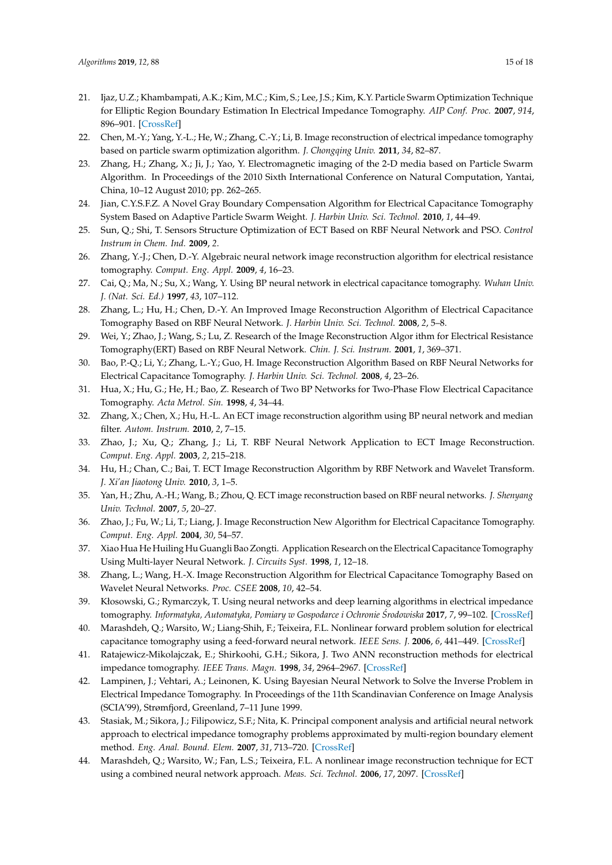- <span id="page-14-0"></span>21. Ijaz, U.Z.; Khambampati, A.K.; Kim, M.C.; Kim, S.; Lee, J.S.; Kim, K.Y. Particle Swarm Optimization Technique for Elliptic Region Boundary Estimation In Electrical Impedance Tomography. *AIP Conf. Proc.* **2007**, *914*, 896–901. [\[CrossRef\]](http://dx.doi.org/10.1063/1.2747529)
- <span id="page-14-1"></span>22. Chen, M.-Y.; Yang, Y.-L.; He, W.; Zhang, C.-Y.; Li, B. Image reconstruction of electrical impedance tomography based on particle swarm optimization algorithm. *J. Chongqing Univ.* **2011**, *34*, 82–87.
- <span id="page-14-2"></span>23. Zhang, H.; Zhang, X.; Ji, J.; Yao, Y. Electromagnetic imaging of the 2-D media based on Particle Swarm Algorithm. In Proceedings of the 2010 Sixth International Conference on Natural Computation, Yantai, China, 10–12 August 2010; pp. 262–265.
- <span id="page-14-3"></span>24. Jian, C.Y.S.F.Z. A Novel Gray Boundary Compensation Algorithm for Electrical Capacitance Tomography System Based on Adaptive Particle Swarm Weight. *J. Harbin Univ. Sci. Technol.* **2010**, *1*, 44–49.
- <span id="page-14-4"></span>25. Sun, Q.; Shi, T. Sensors Structure Optimization of ECT Based on RBF Neural Network and PSO. *Control Instrum in Chem. Ind.* **2009**, *2*.
- <span id="page-14-5"></span>26. Zhang, Y.-J.; Chen, D.-Y. Algebraic neural network image reconstruction algorithm for electrical resistance tomography. *Comput. Eng. Appl.* **2009**, *4*, 16–23.
- <span id="page-14-6"></span>27. Cai, Q.; Ma, N.; Su, X.; Wang, Y. Using BP neural network in electrical capacitance tomography. *Wuhan Univ. J. (Nat. Sci. Ed.)* **1997**, *43*, 107–112.
- <span id="page-14-7"></span>28. Zhang, L.; Hu, H.; Chen, D.-Y. An Improved Image Reconstruction Algorithm of Electrical Capacitance Tomography Based on RBF Neural Network. *J. Harbin Univ. Sci. Technol.* **2008**, *2*, 5–8.
- <span id="page-14-8"></span>29. Wei, Y.; Zhao, J.; Wang, S.; Lu, Z. Research of the Image Reconstruction Algor ithm for Electrical Resistance Tomography(ERT) Based on RBF Neural Network. *Chin. J. Sci. Instrum.* **2001**, *1*, 369–371.
- <span id="page-14-9"></span>30. Bao, P.-Q.; Li, Y.; Zhang, L.-Y.; Guo, H. Image Reconstruction Algorithm Based on RBF Neural Networks for Electrical Capacitance Tomography. *J. Harbin Univ. Sci. Technol.* **2008**, *4*, 23–26.
- <span id="page-14-10"></span>31. Hua, X.; Hu, G.; He, H.; Bao, Z. Research of Two BP Networks for Two-Phase Flow Electrical Capacitance Tomography. *Acta Metrol. Sin.* **1998**, *4*, 34–44.
- <span id="page-14-11"></span>32. Zhang, X.; Chen, X.; Hu, H.-L. An ECT image reconstruction algorithm using BP neural network and median filter. *Autom. Instrum.* **2010**, *2*, 7–15.
- <span id="page-14-12"></span>33. Zhao, J.; Xu, Q.; Zhang, J.; Li, T. RBF Neural Network Application to ECT Image Reconstruction. *Comput. Eng. Appl.* **2003**, *2*, 215–218.
- <span id="page-14-13"></span>34. Hu, H.; Chan, C.; Bai, T. ECT Image Reconstruction Algorithm by RBF Network and Wavelet Transform. *J. Xi'an Jiaotong Univ.* **2010**, *3*, 1–5.
- <span id="page-14-14"></span>35. Yan, H.; Zhu, A.-H.; Wang, B.; Zhou, Q. ECT image reconstruction based on RBF neural networks. *J. Shenyang Univ. Technol.* **2007**, *5*, 20–27.
- <span id="page-14-15"></span>36. Zhao, J.; Fu, W.; Li, T.; Liang, J. Image Reconstruction New Algorithm for Electrical Capacitance Tomography. *Comput. Eng. Appl.* **2004**, *30*, 54–57.
- <span id="page-14-16"></span>37. Xiao Hua He Huiling Hu Guangli Bao Zongti. Application Research on the Electrical Capacitance Tomography Using Multi-layer Neural Network. *J. Circuits Syst.* **1998**, *1*, 12–18.
- <span id="page-14-17"></span>38. Zhang, L.; Wang, H.-X. Image Reconstruction Algorithm for Electrical Capacitance Tomography Based on Wavelet Neural Networks. *Proc. CSEE* **2008**, *10*, 42–54.
- <span id="page-14-18"></span>39. Kłosowski, G.; Rymarczyk, T. Using neural networks and deep learning algorithms in electrical impedance tomography. *Informatyka, Automatyka, Pomiary w Gospodarce i Ochronie Srodowiska ´* **2017**, *7*, 99–102. [\[CrossRef\]](http://dx.doi.org/10.5604/01.3001.0010.5226)
- <span id="page-14-19"></span>40. Marashdeh, Q.; Warsito, W.; Liang-Shih, F.; Teixeira, F.L. Nonlinear forward problem solution for electrical capacitance tomography using a feed-forward neural network. *IEEE Sens. J.* **2006**, *6*, 441–449. [\[CrossRef\]](http://dx.doi.org/10.1109/JSEN.2005.860316)
- <span id="page-14-20"></span>41. Ratajewicz-Mikolajczak, E.; Shirkoohi, G.H.; Sikora, J. Two ANN reconstruction methods for electrical impedance tomography. *IEEE Trans. Magn.* **1998**, *34*, 2964–2967. [\[CrossRef\]](http://dx.doi.org/10.1109/20.717692)
- <span id="page-14-21"></span>42. Lampinen, J.; Vehtari, A.; Leinonen, K. Using Bayesian Neural Network to Solve the Inverse Problem in Electrical Impedance Tomography. In Proceedings of the 11th Scandinavian Conference on Image Analysis (SCIA'99), Strømfjord, Greenland, 7–11 June 1999.
- <span id="page-14-22"></span>43. Stasiak, M.; Sikora, J.; Filipowicz, S.F.; Nita, K. Principal component analysis and artificial neural network approach to electrical impedance tomography problems approximated by multi-region boundary element method. *Eng. Anal. Bound. Elem.* **2007**, *31*, 713–720. [\[CrossRef\]](http://dx.doi.org/10.1016/j.enganabound.2006.12.003)
- <span id="page-14-23"></span>44. Marashdeh, Q.; Warsito, W.; Fan, L.S.; Teixeira, F.L. A nonlinear image reconstruction technique for ECT using a combined neural network approach. *Meas. Sci. Technol.* **2006**, *17*, 2097. [\[CrossRef\]](http://dx.doi.org/10.1088/0957-0233/17/8/007)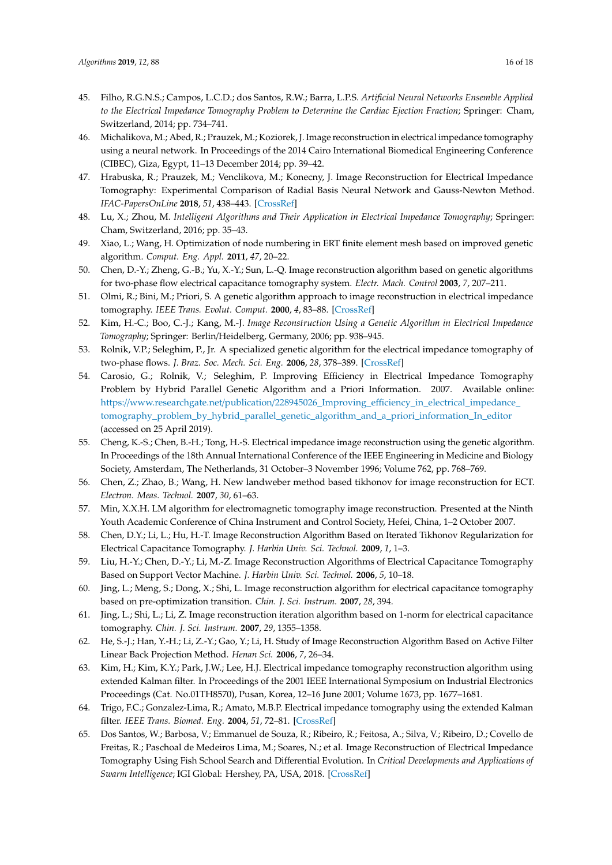- <span id="page-15-0"></span>45. Filho, R.G.N.S.; Campos, L.C.D.; dos Santos, R.W.; Barra, L.P.S. *Artificial Neural Networks Ensemble Applied to the Electrical Impedance Tomography Problem to Determine the Cardiac Ejection Fraction*; Springer: Cham, Switzerland, 2014; pp. 734–741.
- <span id="page-15-1"></span>46. Michalikova, M.; Abed, R.; Prauzek, M.; Koziorek, J. Image reconstruction in electrical impedance tomography using a neural network. In Proceedings of the 2014 Cairo International Biomedical Engineering Conference (CIBEC), Giza, Egypt, 11–13 December 2014; pp. 39–42.
- <span id="page-15-2"></span>47. Hrabuska, R.; Prauzek, M.; Venclikova, M.; Konecny, J. Image Reconstruction for Electrical Impedance Tomography: Experimental Comparison of Radial Basis Neural Network and Gauss-Newton Method. *IFAC-PapersOnLine* **2018**, *51*, 438–443. [\[CrossRef\]](http://dx.doi.org/10.1016/j.ifacol.2018.07.114)
- <span id="page-15-3"></span>48. Lu, X.; Zhou, M. *Intelligent Algorithms and Their Application in Electrical Impedance Tomography*; Springer: Cham, Switzerland, 2016; pp. 35–43.
- <span id="page-15-4"></span>49. Xiao, L.; Wang, H. Optimization of node numbering in ERT finite element mesh based on improved genetic algorithm. *Comput. Eng. Appl.* **2011**, *47*, 20–22.
- <span id="page-15-5"></span>50. Chen, D.-Y.; Zheng, G.-B.; Yu, X.-Y.; Sun, L.-Q. Image reconstruction algorithm based on genetic algorithms for two-phase flow electrical capacitance tomography system. *Electr. Mach. Control* **2003**, *7*, 207–211.
- <span id="page-15-6"></span>51. Olmi, R.; Bini, M.; Priori, S. A genetic algorithm approach to image reconstruction in electrical impedance tomography. *IEEE Trans. Evolut. Comput.* **2000**, *4*, 83–88. [\[CrossRef\]](http://dx.doi.org/10.1109/4235.843497)
- <span id="page-15-7"></span>52. Kim, H.-C.; Boo, C.-J.; Kang, M.-J. *Image Reconstruction Using a Genetic Algorithm in Electrical Impedance Tomography*; Springer: Berlin/Heidelberg, Germany, 2006; pp. 938–945.
- <span id="page-15-8"></span>53. Rolnik, V.P.; Seleghim, P., Jr. A specialized genetic algorithm for the electrical impedance tomography of two-phase flows. *J. Braz. Soc. Mech. Sci. Eng.* **2006**, *28*, 378–389. [\[CrossRef\]](http://dx.doi.org/10.1590/S1678-58782006000400002)
- <span id="page-15-9"></span>54. Carosio, G.; Rolnik, V.; Seleghim, P. Improving Efficiency in Electrical Impedance Tomography Problem by Hybrid Parallel Genetic Algorithm and a Priori Information. 2007. Available online: https://www.researchgate.net/publication/228945026\_Improving\_effi[ciency\\_in\\_electrical\\_impedance\\_](https://www.researchgate.net/publication/228945026_Improving_efficiency_in_electrical_impedance_tomography_problem_by_hybrid_parallel_genetic_algorithm_and_a_priori_information_In_editor) [tomography\\_problem\\_by\\_hybrid\\_parallel\\_genetic\\_algorithm\\_and\\_a\\_priori\\_information\\_In\\_editor](https://www.researchgate.net/publication/228945026_Improving_efficiency_in_electrical_impedance_tomography_problem_by_hybrid_parallel_genetic_algorithm_and_a_priori_information_In_editor) (accessed on 25 April 2019).
- <span id="page-15-10"></span>55. Cheng, K.-S.; Chen, B.-H.; Tong, H.-S. Electrical impedance image reconstruction using the genetic algorithm. In Proceedings of the 18th Annual International Conference of the IEEE Engineering in Medicine and Biology Society, Amsterdam, The Netherlands, 31 October–3 November 1996; Volume 762, pp. 768–769.
- <span id="page-15-11"></span>56. Chen, Z.; Zhao, B.; Wang, H. New landweber method based tikhonov for image reconstruction for ECT. *Electron. Meas. Technol.* **2007**, *30*, 61–63.
- <span id="page-15-12"></span>57. Min, X.X.H. LM algorithm for electromagnetic tomography image reconstruction. Presented at the Ninth Youth Academic Conference of China Instrument and Control Society, Hefei, China, 1–2 October 2007.
- <span id="page-15-13"></span>58. Chen, D.Y.; Li, L.; Hu, H.-T. Image Reconstruction Algorithm Based on Iterated Tikhonov Regularization for Electrical Capacitance Tomography. *J. Harbin Univ. Sci. Technol.* **2009**, *1*, 1–3.
- <span id="page-15-14"></span>59. Liu, H.-Y.; Chen, D.-Y.; Li, M.-Z. Image Reconstruction Algorithms of Electrical Capacitance Tomography Based on Support Vector Machine. *J. Harbin Univ. Sci. Technol.* **2006**, *5*, 10–18.
- <span id="page-15-15"></span>60. Jing, L.; Meng, S.; Dong, X.; Shi, L. Image reconstruction algorithm for electrical capacitance tomography based on pre-optimization transition. *Chin. J. Sci. Instrum.* **2007**, *28*, 394.
- <span id="page-15-16"></span>61. Jing, L.; Shi, L.; Li, Z. Image reconstruction iteration algorithm based on 1-norm for electrical capacitance tomography. *Chin. J. Sci. Instrum.* **2007**, *29*, 1355–1358.
- <span id="page-15-17"></span>62. He, S.-J.; Han, Y.-H.; Li, Z.-Y.; Gao, Y.; Li, H. Study of Image Reconstruction Algorithm Based on Active Filter Linear Back Projection Method. *Henan Sci.* **2006**, *7*, 26–34.
- <span id="page-15-18"></span>63. Kim, H.; Kim, K.Y.; Park, J.W.; Lee, H.J. Electrical impedance tomography reconstruction algorithm using extended Kalman filter. In Proceedings of the 2001 IEEE International Symposium on Industrial Electronics Proceedings (Cat. No.01TH8570), Pusan, Korea, 12–16 June 2001; Volume 1673, pp. 1677–1681.
- <span id="page-15-19"></span>64. Trigo, F.C.; Gonzalez-Lima, R.; Amato, M.B.P. Electrical impedance tomography using the extended Kalman filter. *IEEE Trans. Biomed. Eng.* **2004**, *51*, 72–81. [\[CrossRef\]](http://dx.doi.org/10.1109/TBME.2003.820389)
- <span id="page-15-20"></span>65. Dos Santos, W.; Barbosa, V.; Emmanuel de Souza, R.; Ribeiro, R.; Feitosa, A.; Silva, V.; Ribeiro, D.; Covello de Freitas, R.; Paschoal de Medeiros Lima, M.; Soares, N.; et al. Image Reconstruction of Electrical Impedance Tomography Using Fish School Search and Differential Evolution. In *Critical Developments and Applications of Swarm Intelligence*; IGI Global: Hershey, PA, USA, 2018. [\[CrossRef\]](http://dx.doi.org/10.4018/978-1-5225-5134-8.ch012)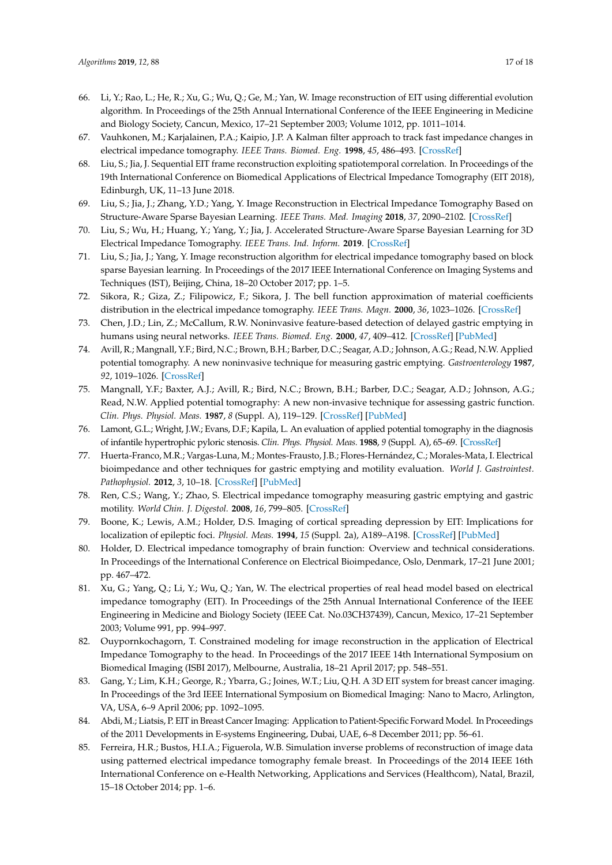- <span id="page-16-0"></span>66. Li, Y.; Rao, L.; He, R.; Xu, G.; Wu, Q.; Ge, M.; Yan, W. Image reconstruction of EIT using differential evolution algorithm. In Proceedings of the 25th Annual International Conference of the IEEE Engineering in Medicine and Biology Society, Cancun, Mexico, 17–21 September 2003; Volume 1012, pp. 1011–1014.
- <span id="page-16-1"></span>67. Vauhkonen, M.; Karjalainen, P.A.; Kaipio, J.P. A Kalman filter approach to track fast impedance changes in electrical impedance tomography. *IEEE Trans. Biomed. Eng.* **1998**, *45*, 486–493. [\[CrossRef\]](http://dx.doi.org/10.1109/10.664204)
- <span id="page-16-2"></span>68. Liu, S.; Jia, J. Sequential EIT frame reconstruction exploiting spatiotemporal correlation. In Proceedings of the 19th International Conference on Biomedical Applications of Electrical Impedance Tomography (EIT 2018), Edinburgh, UK, 11–13 June 2018.
- <span id="page-16-3"></span>69. Liu, S.; Jia, J.; Zhang, Y.D.; Yang, Y. Image Reconstruction in Electrical Impedance Tomography Based on Structure-Aware Sparse Bayesian Learning. *IEEE Trans. Med. Imaging* **2018**, *37*, 2090–2102. [\[CrossRef\]](http://dx.doi.org/10.1109/TMI.2018.2816739)
- <span id="page-16-4"></span>70. Liu, S.; Wu, H.; Huang, Y.; Yang, Y.; Jia, J. Accelerated Structure-Aware Sparse Bayesian Learning for 3D Electrical Impedance Tomography. *IEEE Trans. Ind. Inform.* **2019**. [\[CrossRef\]](http://dx.doi.org/10.1109/TII.2019.2895469)
- <span id="page-16-5"></span>71. Liu, S.; Jia, J.; Yang, Y. Image reconstruction algorithm for electrical impedance tomography based on block sparse Bayesian learning. In Proceedings of the 2017 IEEE International Conference on Imaging Systems and Techniques (IST), Beijing, China, 18–20 October 2017; pp. 1–5.
- <span id="page-16-6"></span>72. Sikora, R.; Giza, Z.; Filipowicz, F.; Sikora, J. The bell function approximation of material coefficients distribution in the electrical impedance tomography. *IEEE Trans. Magn.* **2000**, *36*, 1023–1026. [\[CrossRef\]](http://dx.doi.org/10.1109/20.877615)
- <span id="page-16-7"></span>73. Chen, J.D.; Lin, Z.; McCallum, R.W. Noninvasive feature-based detection of delayed gastric emptying in humans using neural networks. *IEEE Trans. Biomed. Eng.* **2000**, *47*, 409–412. [\[CrossRef\]](http://dx.doi.org/10.1109/10.827310) [\[PubMed\]](http://www.ncbi.nlm.nih.gov/pubmed/10743784)
- <span id="page-16-8"></span>74. Avill, R.; Mangnall, Y.F.; Bird, N.C.; Brown, B.H.; Barber, D.C.; Seagar, A.D.; Johnson, A.G.; Read, N.W. Applied potential tomography. A new noninvasive technique for measuring gastric emptying. *Gastroenterology* **1987**, *92*, 1019–1026. [\[CrossRef\]](http://dx.doi.org/10.1016/0016-5085(87)90978-4)
- <span id="page-16-9"></span>75. Mangnall, Y.F.; Baxter, A.J.; Avill, R.; Bird, N.C.; Brown, B.H.; Barber, D.C.; Seagar, A.D.; Johnson, A.G.; Read, N.W. Applied potential tomography: A new non-invasive technique for assessing gastric function. *Clin. Phys. Physiol. Meas.* **1987**, *8* (Suppl. A), 119–129. [\[CrossRef\]](http://dx.doi.org/10.1088/0143-0815/8/4A/016) [\[PubMed\]](http://www.ncbi.nlm.nih.gov/pubmed/3552384)
- <span id="page-16-10"></span>76. Lamont, G.L.; Wright, J.W.; Evans, D.F.; Kapila, L. An evaluation of applied potential tomography in the diagnosis of infantile hypertrophic pyloric stenosis. *Clin. Phys. Physiol. Meas.* **1988**, *9* (Suppl. A), 65–69. [\[CrossRef\]](http://dx.doi.org/10.1088/0143-0815/9/4A/012)
- <span id="page-16-11"></span>77. Huerta-Franco, M.R.; Vargas-Luna, M.; Montes-Frausto, J.B.; Flores-Hernández, C.; Morales-Mata, I. Electrical bioimpedance and other techniques for gastric emptying and motility evaluation. *World J. Gastrointest. Pathophysiol.* **2012**, *3*, 10–18. [\[CrossRef\]](http://dx.doi.org/10.4291/wjgp.v3.i1.10) [\[PubMed\]](http://www.ncbi.nlm.nih.gov/pubmed/22368782)
- <span id="page-16-12"></span>78. Ren, C.S.; Wang, Y.; Zhao, S. Electrical impedance tomography measuring gastric emptying and gastric motility. *World Chin. J. Digestol.* **2008**, *16*, 799–805. [\[CrossRef\]](http://dx.doi.org/10.11569/wcjd.v16.i8.799)
- <span id="page-16-13"></span>79. Boone, K.; Lewis, A.M.; Holder, D.S. Imaging of cortical spreading depression by EIT: Implications for localization of epileptic foci. *Physiol. Meas.* **1994**, *15* (Suppl. 2a), A189–A198. [\[CrossRef\]](http://dx.doi.org/10.1088/0967-3334/15/2A/024) [\[PubMed\]](http://www.ncbi.nlm.nih.gov/pubmed/8087042)
- <span id="page-16-14"></span>80. Holder, D. Electrical impedance tomography of brain function: Overview and technical considerations. In Proceedings of the International Conference on Electrical Bioimpedance, Oslo, Denmark, 17–21 June 2001; pp. 467–472.
- <span id="page-16-15"></span>81. Xu, G.; Yang, Q.; Li, Y.; Wu, Q.; Yan, W. The electrical properties of real head model based on electrical impedance tomography (EIT). In Proceedings of the 25th Annual International Conference of the IEEE Engineering in Medicine and Biology Society (IEEE Cat. No.03CH37439), Cancun, Mexico, 17–21 September 2003; Volume 991, pp. 994–997.
- <span id="page-16-16"></span>82. Ouypornkochagorn, T. Constrained modeling for image reconstruction in the application of Electrical Impedance Tomography to the head. In Proceedings of the 2017 IEEE 14th International Symposium on Biomedical Imaging (ISBI 2017), Melbourne, Australia, 18–21 April 2017; pp. 548–551.
- <span id="page-16-17"></span>83. Gang, Y.; Lim, K.H.; George, R.; Ybarra, G.; Joines, W.T.; Liu, Q.H. A 3D EIT system for breast cancer imaging. In Proceedings of the 3rd IEEE International Symposium on Biomedical Imaging: Nano to Macro, Arlington, VA, USA, 6–9 April 2006; pp. 1092–1095.
- <span id="page-16-18"></span>84. Abdi, M.; Liatsis, P. EIT in Breast Cancer Imaging: Application to Patient-Specific Forward Model. In Proceedings of the 2011 Developments in E-systems Engineering, Dubai, UAE, 6–8 December 2011; pp. 56–61.
- <span id="page-16-19"></span>85. Ferreira, H.R.; Bustos, H.I.A.; Figuerola, W.B. Simulation inverse problems of reconstruction of image data using patterned electrical impedance tomography female breast. In Proceedings of the 2014 IEEE 16th International Conference on e-Health Networking, Applications and Services (Healthcom), Natal, Brazil, 15–18 October 2014; pp. 1–6.